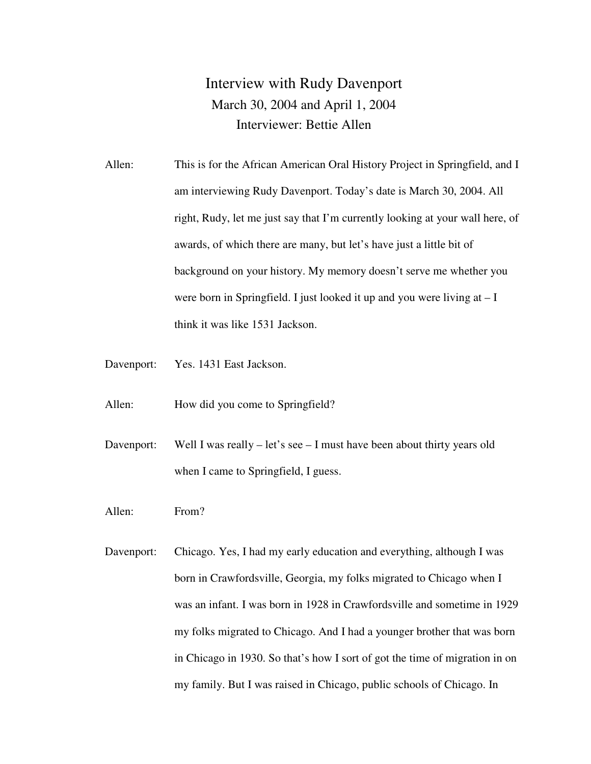# Interview with Rudy Davenport March 30, 2004 and April 1, 2004 Interviewer: Bettie Allen

- Allen: This is for the African American Oral History Project in Springfield, and I am interviewing Rudy Davenport. Today's date is March 30, 2004. All right, Rudy, let me just say that I'm currently looking at your wall here, of awards, of which there are many, but let's have just a little bit of background on your history. My memory doesn't serve me whether you were born in Springfield. I just looked it up and you were living  $at - I$ think it was like 1531 Jackson.
- Davenport: Yes. 1431 East Jackson.
- Allen: How did you come to Springfield?
- Davenport: Well I was really let's see I must have been about thirty years old when I came to Springfield, I guess.
- Allen: From?
- Davenport: Chicago. Yes, I had my early education and everything, although I was born in Crawfordsville, Georgia, my folks migrated to Chicago when I was an infant. I was born in 1928 in Crawfordsville and sometime in 1929 my folks migrated to Chicago. And I had a younger brother that was born in Chicago in 1930. So that's how I sort of got the time of migration in on my family. But I was raised in Chicago, public schools of Chicago. In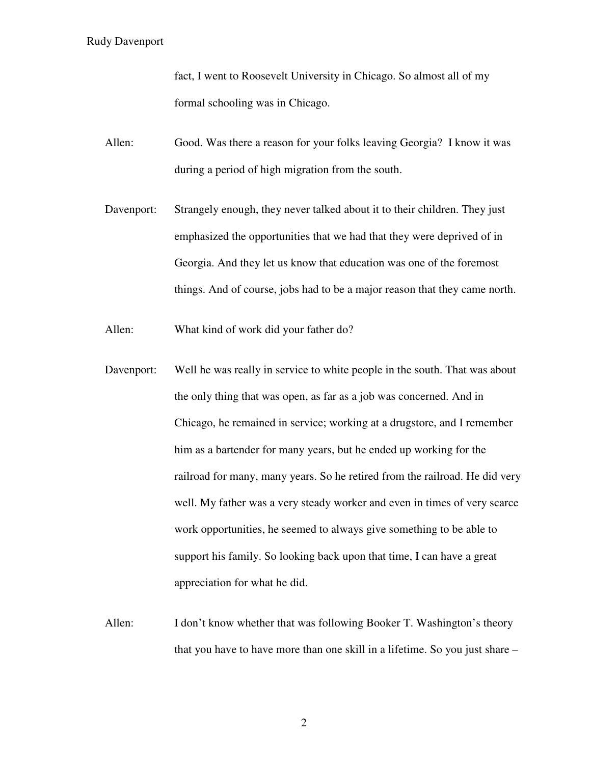fact, I went to Roosevelt University in Chicago. So almost all of my formal schooling was in Chicago.

- Allen: Good. Was there a reason for your folks leaving Georgia? I know it was during a period of high migration from the south.
- Davenport: Strangely enough, they never talked about it to their children. They just emphasized the opportunities that we had that they were deprived of in Georgia. And they let us know that education was one of the foremost things. And of course, jobs had to be a major reason that they came north.
- Allen: What kind of work did your father do?
- Davenport: Well he was really in service to white people in the south. That was about the only thing that was open, as far as a job was concerned. And in Chicago, he remained in service; working at a drugstore, and I remember him as a bartender for many years, but he ended up working for the railroad for many, many years. So he retired from the railroad. He did very well. My father was a very steady worker and even in times of very scarce work opportunities, he seemed to always give something to be able to support his family. So looking back upon that time, I can have a great appreciation for what he did.
- Allen: I don't know whether that was following Booker T. Washington's theory that you have to have more than one skill in a lifetime. So you just share –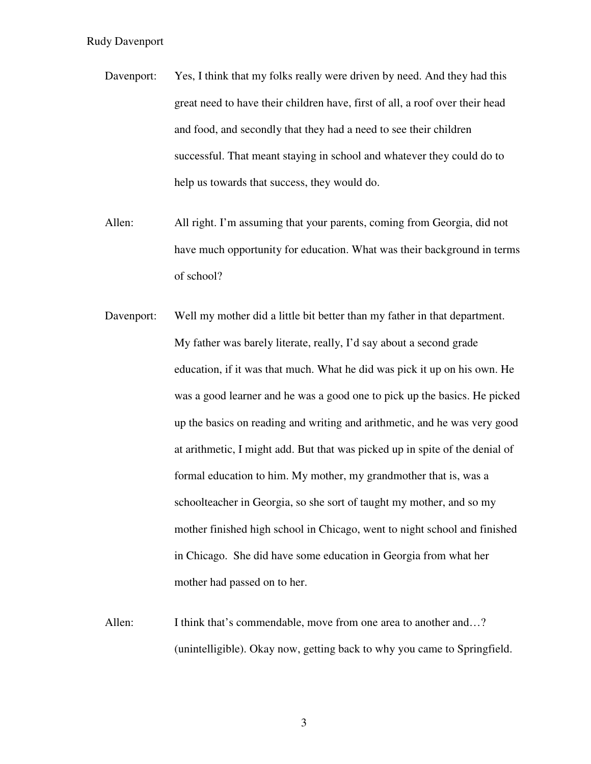- Davenport: Yes, I think that my folks really were driven by need. And they had this great need to have their children have, first of all, a roof over their head and food, and secondly that they had a need to see their children successful. That meant staying in school and whatever they could do to help us towards that success, they would do.
- Allen: All right. I'm assuming that your parents, coming from Georgia, did not have much opportunity for education. What was their background in terms of school?
- Davenport: Well my mother did a little bit better than my father in that department. My father was barely literate, really, I'd say about a second grade education, if it was that much. What he did was pick it up on his own. He was a good learner and he was a good one to pick up the basics. He picked up the basics on reading and writing and arithmetic, and he was very good at arithmetic, I might add. But that was picked up in spite of the denial of formal education to him. My mother, my grandmother that is, was a schoolteacher in Georgia, so she sort of taught my mother, and so my mother finished high school in Chicago, went to night school and finished in Chicago. She did have some education in Georgia from what her mother had passed on to her.
- Allen: I think that's commendable, move from one area to another and...? (unintelligible). Okay now, getting back to why you came to Springfield.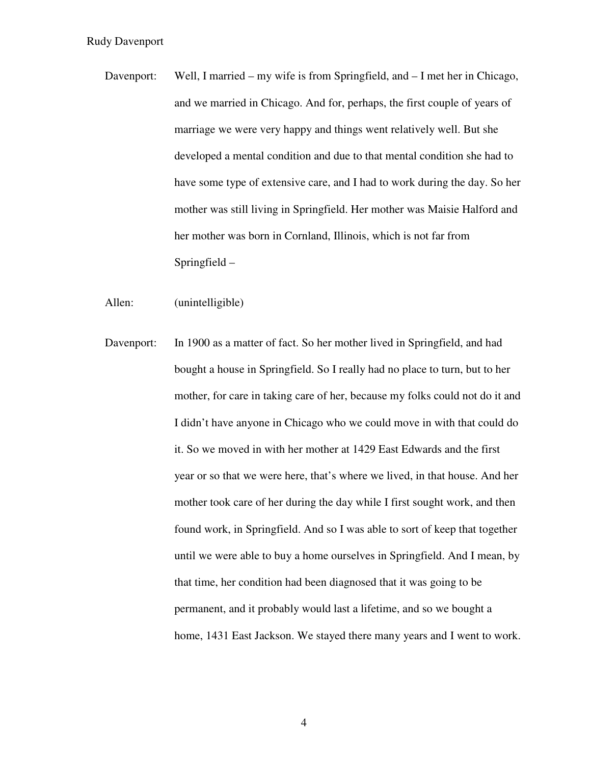- Davenport: Well, I married my wife is from Springfield, and I met her in Chicago, and we married in Chicago. And for, perhaps, the first couple of years of marriage we were very happy and things went relatively well. But she developed a mental condition and due to that mental condition she had to have some type of extensive care, and I had to work during the day. So her mother was still living in Springfield. Her mother was Maisie Halford and her mother was born in Cornland, Illinois, which is not far from Springfield –
- Allen: (unintelligible)
- Davenport: In 1900 as a matter of fact. So her mother lived in Springfield, and had bought a house in Springfield. So I really had no place to turn, but to her mother, for care in taking care of her, because my folks could not do it and I didn't have anyone in Chicago who we could move in with that could do it. So we moved in with her mother at 1429 East Edwards and the first year or so that we were here, that's where we lived, in that house. And her mother took care of her during the day while I first sought work, and then found work, in Springfield. And so I was able to sort of keep that together until we were able to buy a home ourselves in Springfield. And I mean, by that time, her condition had been diagnosed that it was going to be permanent, and it probably would last a lifetime, and so we bought a home, 1431 East Jackson. We stayed there many years and I went to work.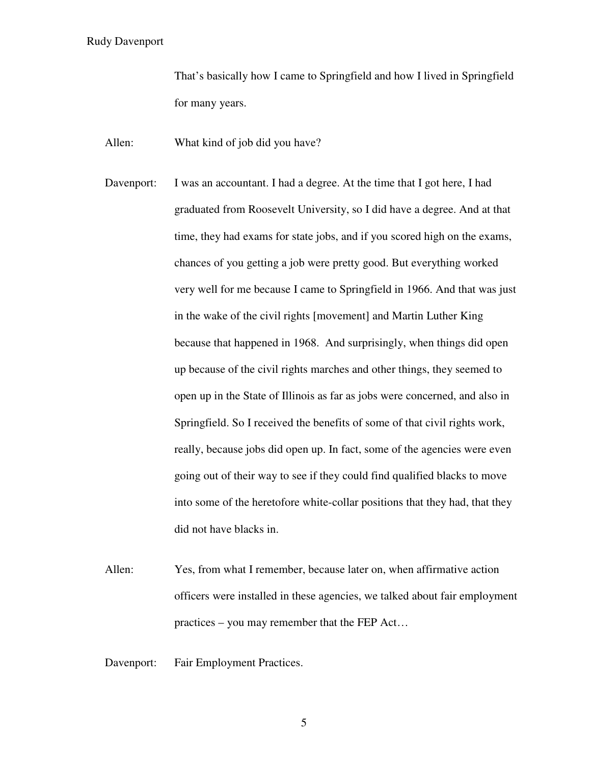That's basically how I came to Springfield and how I lived in Springfield for many years.

Allen: What kind of job did you have?

- Davenport: I was an accountant. I had a degree. At the time that I got here, I had graduated from Roosevelt University, so I did have a degree. And at that time, they had exams for state jobs, and if you scored high on the exams, chances of you getting a job were pretty good. But everything worked very well for me because I came to Springfield in 1966. And that was just in the wake of the civil rights [movement] and Martin Luther King because that happened in 1968. And surprisingly, when things did open up because of the civil rights marches and other things, they seemed to open up in the State of Illinois as far as jobs were concerned, and also in Springfield. So I received the benefits of some of that civil rights work, really, because jobs did open up. In fact, some of the agencies were even going out of their way to see if they could find qualified blacks to move into some of the heretofore white-collar positions that they had, that they did not have blacks in.
- Allen: Yes, from what I remember, because later on, when affirmative action officers were installed in these agencies, we talked about fair employment practices – you may remember that the FEP Act…

Davenport: Fair Employment Practices.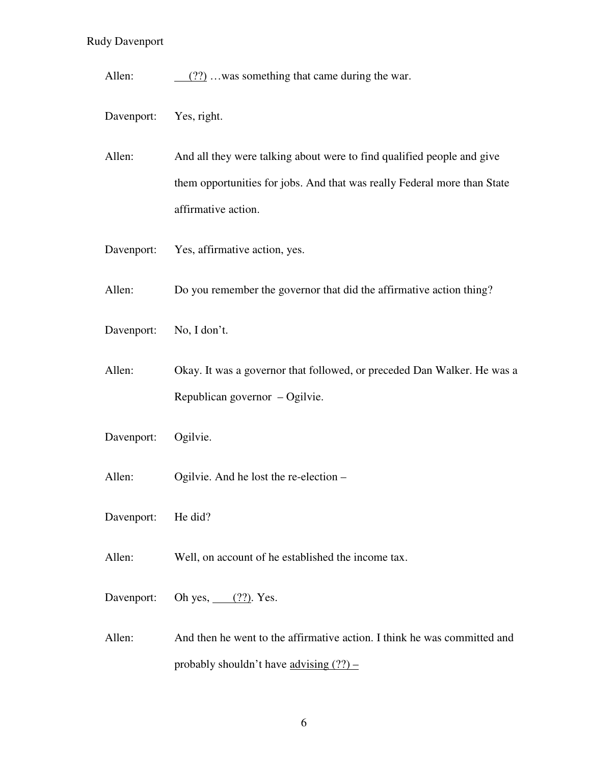Allen: (??) ... was something that came during the war.

Davenport: Yes, right.

Allen: And all they were talking about were to find qualified people and give them opportunities for jobs. And that was really Federal more than State affirmative action.

- Davenport: Yes, affirmative action, yes.
- Allen: Do you remember the governor that did the affirmative action thing?
- Davenport: No, I don't.
- Allen: Okay. It was a governor that followed, or preceded Dan Walker. He was a Republican governor – Ogilvie.
- Davenport: Ogilvie.
- Allen: Ogilvie. And he lost the re-election –
- Davenport: He did?
- Allen: Well, on account of he established the income tax.
- Davenport: Oh yes,  $(??)$ . Yes.
- Allen: And then he went to the affirmative action. I think he was committed and probably shouldn't have advising (??) –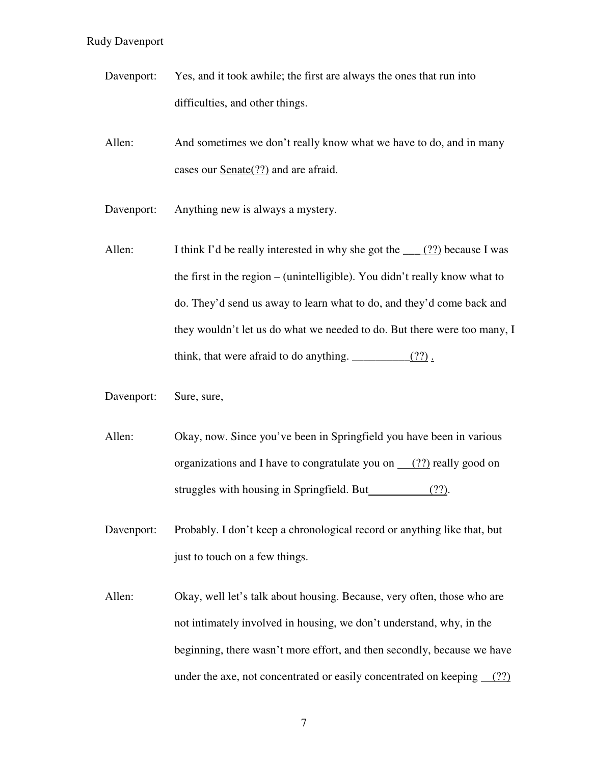- Davenport: Yes, and it took awhile; the first are always the ones that run into difficulties, and other things.
- Allen: And sometimes we don't really know what we have to do, and in many cases our <u>Senate(??)</u> and are afraid.
- Davenport: Anything new is always a mystery.
- Allen: I think I'd be really interested in why she got the  $\frac{??}$  because I was the first in the region – (unintelligible). You didn't really know what to do. They'd send us away to learn what to do, and they'd come back and they wouldn't let us do what we needed to do. But there were too many, I think, that were afraid to do anything.  $(?)$ .
- Davenport: Sure, sure,
- Allen: Okay, now. Since you've been in Springfield you have been in various organizations and I have to congratulate you on (??) really good on struggles with housing in Springfield. But  $(??)$ .
- Davenport: Probably. I don't keep a chronological record or anything like that, but just to touch on a few things.
- Allen: Okay, well let's talk about housing. Because, very often, those who are not intimately involved in housing, we don't understand, why, in the beginning, there wasn't more effort, and then secondly, because we have under the axe, not concentrated or easily concentrated on keeping (??)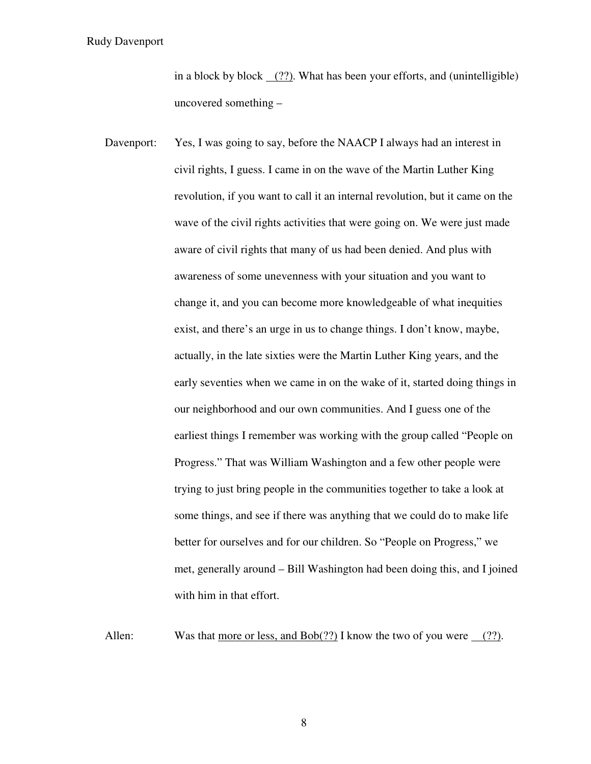in a block by block (??). What has been your efforts, and (unintelligible) uncovered something –

Davenport: Yes, I was going to say, before the NAACP I always had an interest in civil rights, I guess. I came in on the wave of the Martin Luther King revolution, if you want to call it an internal revolution, but it came on the wave of the civil rights activities that were going on. We were just made aware of civil rights that many of us had been denied. And plus with awareness of some unevenness with your situation and you want to change it, and you can become more knowledgeable of what inequities exist, and there's an urge in us to change things. I don't know, maybe, actually, in the late sixties were the Martin Luther King years, and the early seventies when we came in on the wake of it, started doing things in our neighborhood and our own communities. And I guess one of the earliest things I remember was working with the group called "People on Progress." That was William Washington and a few other people were trying to just bring people in the communities together to take a look at some things, and see if there was anything that we could do to make life better for ourselves and for our children. So "People on Progress," we met, generally around – Bill Washington had been doing this, and I joined with him in that effort.

Allen: Was that more or less, and  $Bob(??)$  I know the two of you were (??).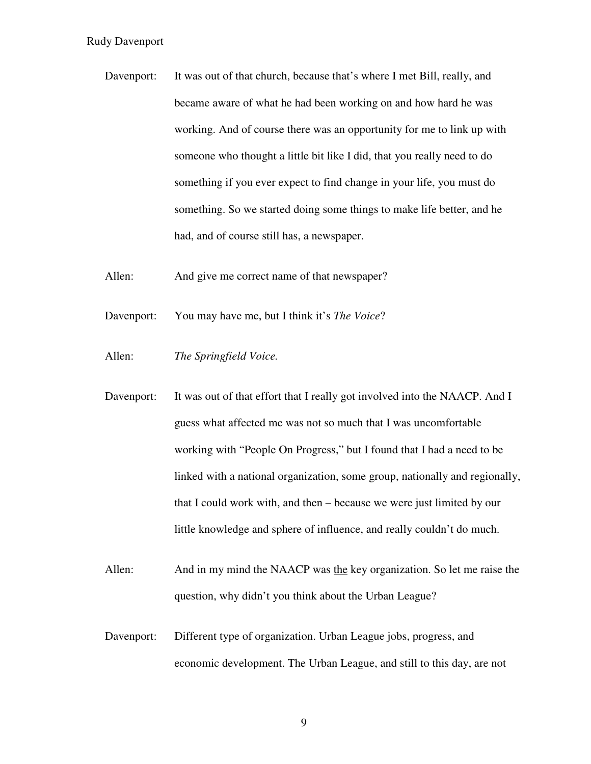- Davenport: It was out of that church, because that's where I met Bill, really, and became aware of what he had been working on and how hard he was working. And of course there was an opportunity for me to link up with someone who thought a little bit like I did, that you really need to do something if you ever expect to find change in your life, you must do something. So we started doing some things to make life better, and he had, and of course still has, a newspaper.
- Allen: And give me correct name of that newspaper?
- Davenport: You may have me, but I think it's *The Voice*?
- Allen: *The Springfield Voice.*
- Davenport: It was out of that effort that I really got involved into the NAACP. And I guess what affected me was not so much that I was uncomfortable working with "People On Progress," but I found that I had a need to be linked with a national organization, some group, nationally and regionally, that I could work with, and then – because we were just limited by our little knowledge and sphere of influence, and really couldn't do much.
- Allen: And in my mind the NAACP was the key organization. So let me raise the question, why didn't you think about the Urban League?
- Davenport: Different type of organization. Urban League jobs, progress, and economic development. The Urban League, and still to this day, are not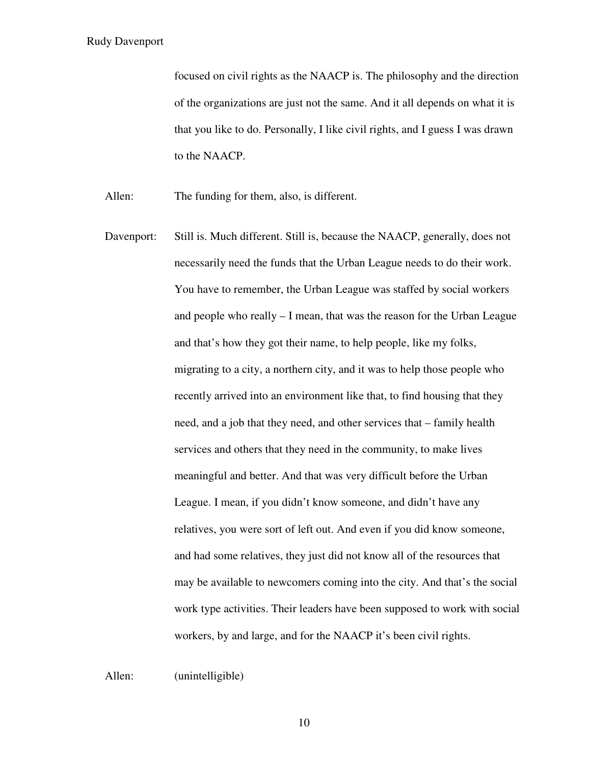focused on civil rights as the NAACP is. The philosophy and the direction of the organizations are just not the same. And it all depends on what it is that you like to do. Personally, I like civil rights, and I guess I was drawn to the NAACP.

Allen: The funding for them, also, is different.

Davenport: Still is. Much different. Still is, because the NAACP, generally, does not necessarily need the funds that the Urban League needs to do their work. You have to remember, the Urban League was staffed by social workers and people who really – I mean, that was the reason for the Urban League and that's how they got their name, to help people, like my folks, migrating to a city, a northern city, and it was to help those people who recently arrived into an environment like that, to find housing that they need, and a job that they need, and other services that – family health services and others that they need in the community, to make lives meaningful and better. And that was very difficult before the Urban League. I mean, if you didn't know someone, and didn't have any relatives, you were sort of left out. And even if you did know someone, and had some relatives, they just did not know all of the resources that may be available to newcomers coming into the city. And that's the social work type activities. Their leaders have been supposed to work with social workers, by and large, and for the NAACP it's been civil rights.

Allen: (unintelligible)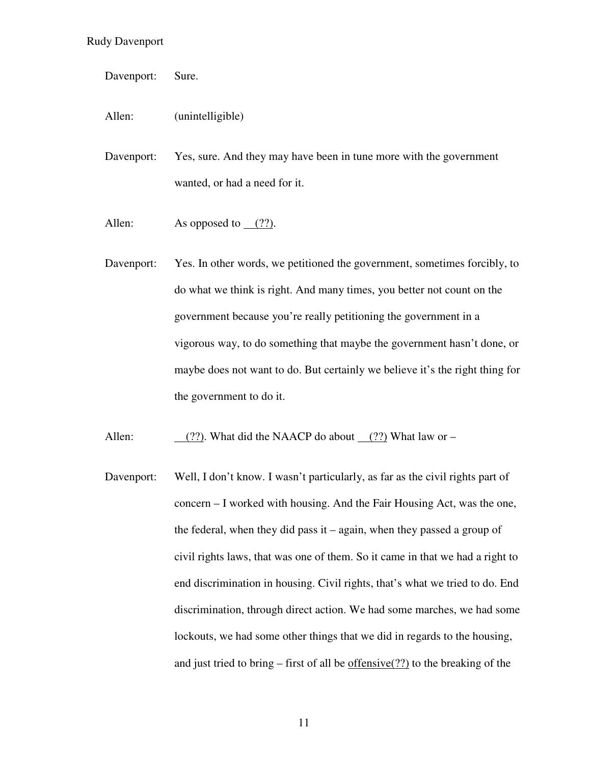Davenport: Sure.

Allen: (unintelligible)

Davenport: Yes, sure. And they may have been in tune more with the government wanted, or had a need for it.

Allen: As opposed to (??).

Davenport: Yes. In other words, we petitioned the government, sometimes forcibly, to do what we think is right. And many times, you better not count on the government because you're really petitioning the government in a vigorous way, to do something that maybe the government hasn't done, or maybe does not want to do. But certainly we believe it's the right thing for the government to do it.

Allen: (??). What did the NAACP do about (??) What law or –

Davenport: Well, I don't know. I wasn't particularly, as far as the civil rights part of concern – I worked with housing. And the Fair Housing Act, was the one, the federal, when they did pass it – again, when they passed a group of civil rights laws, that was one of them. So it came in that we had a right to end discrimination in housing. Civil rights, that's what we tried to do. End discrimination, through direct action. We had some marches, we had some lockouts, we had some other things that we did in regards to the housing, and just tried to bring – first of all be offensive(??) to the breaking of the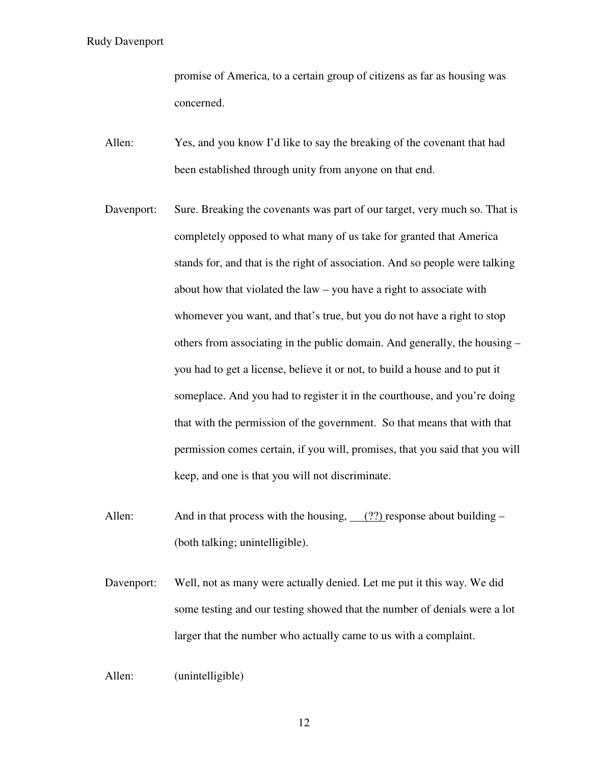promise of America, to a certain group of citizens as far as housing was concerned.

- Allen: Yes, and you know I'd like to say the breaking of the covenant that had been established through unity from anyone on that end.
- Davenport: Sure. Breaking the covenants was part of our target, very much so. That is completely opposed to what many of us take for granted that America stands for, and that is the right of association. And so people were talking about how that violated the law – you have a right to associate with whomever you want, and that's true, but you do not have a right to stop others from associating in the public domain. And generally, the housing – you had to get a license, believe it or not, to build a house and to put it someplace. And you had to register it in the courthouse, and you're doing that with the permission of the government. So that means that with that permission comes certain, if you will, promises, that you said that you will keep, and one is that you will not discriminate.
- Allen: And in that process with the housing, (??) response about building (both talking; unintelligible).
- Davenport: Well, not as many were actually denied. Let me put it this way. We did some testing and our testing showed that the number of denials were a lot larger that the number who actually came to us with a complaint.

Allen: (unintelligible)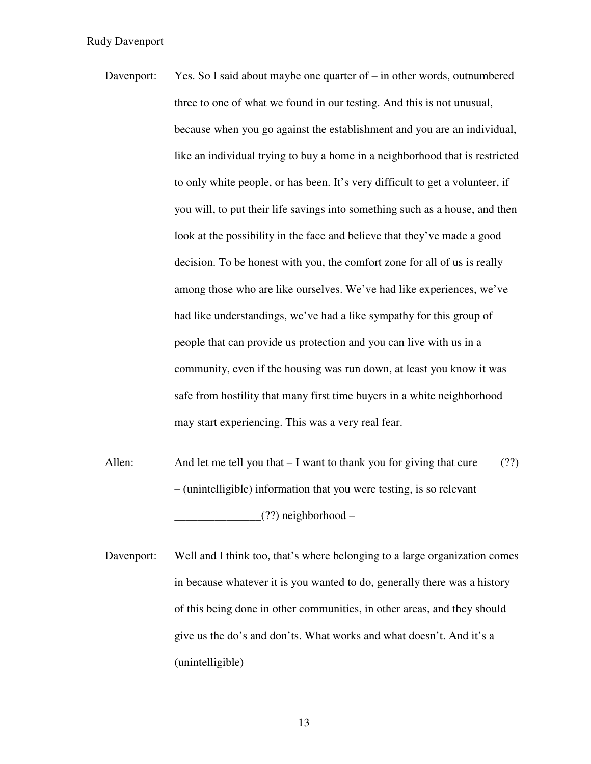- Davenport: Yes. So I said about maybe one quarter of in other words, outnumbered three to one of what we found in our testing. And this is not unusual, because when you go against the establishment and you are an individual, like an individual trying to buy a home in a neighborhood that is restricted to only white people, or has been. It's very difficult to get a volunteer, if you will, to put their life savings into something such as a house, and then look at the possibility in the face and believe that they've made a good decision. To be honest with you, the comfort zone for all of us is really among those who are like ourselves. We've had like experiences, we've had like understandings, we've had a like sympathy for this group of people that can provide us protection and you can live with us in a community, even if the housing was run down, at least you know it was safe from hostility that many first time buyers in a white neighborhood may start experiencing. This was a very real fear.
- Allen: And let me tell you that  $I$  want to thank you for giving that cure (??) – (unintelligible) information that you were testing, is so relevant  $(?)$  neighborhood –
- Davenport: Well and I think too, that's where belonging to a large organization comes in because whatever it is you wanted to do, generally there was a history of this being done in other communities, in other areas, and they should give us the do's and don'ts. What works and what doesn't. And it's a (unintelligible)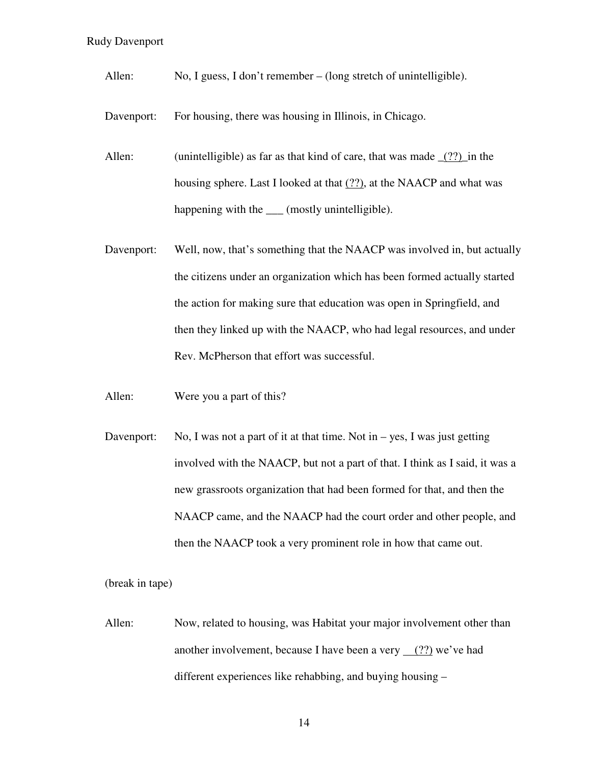Allen: No, I guess, I don't remember – (long stretch of unintelligible).

Davenport: For housing, there was housing in Illinois, in Chicago.

Allen: (unintelligible) as far as that kind of care, that was made  $(?)$  in the housing sphere. Last I looked at that (??), at the NAACP and what was happening with the \_\_\_\_ (mostly unintelligible).

Davenport: Well, now, that's something that the NAACP was involved in, but actually the citizens under an organization which has been formed actually started the action for making sure that education was open in Springfield, and then they linked up with the NAACP, who had legal resources, and under Rev. McPherson that effort was successful.

- Allen: Were you a part of this?
- Davenport: No, I was not a part of it at that time. Not in  $-$  yes, I was just getting involved with the NAACP, but not a part of that. I think as I said, it was a new grassroots organization that had been formed for that, and then the NAACP came, and the NAACP had the court order and other people, and then the NAACP took a very prominent role in how that came out.

(break in tape)

Allen: Now, related to housing, was Habitat your major involvement other than another involvement, because I have been a very  $(?)$  we've had different experiences like rehabbing, and buying housing –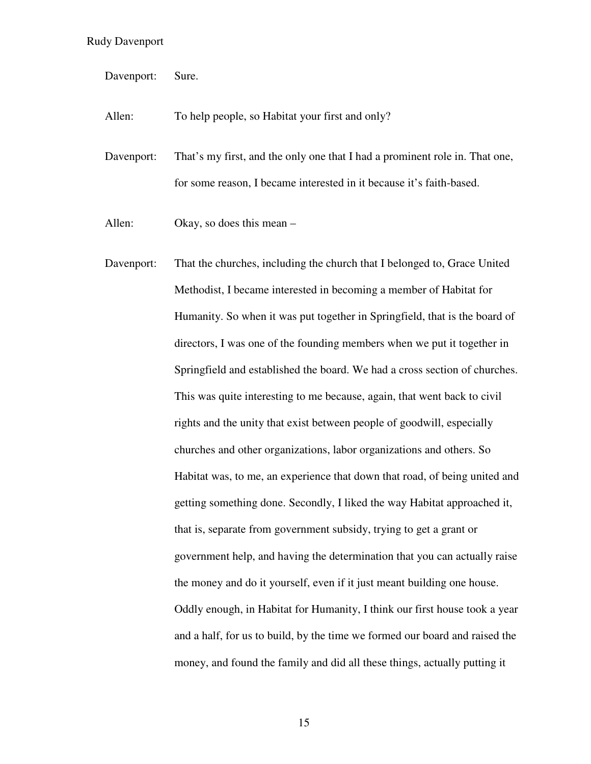- Davenport: Sure.
- Allen: To help people, so Habitat your first and only?
- Davenport: That's my first, and the only one that I had a prominent role in. That one, for some reason, I became interested in it because it's faith-based.
- Allen: Okay, so does this mean –
- Davenport: That the churches, including the church that I belonged to, Grace United Methodist, I became interested in becoming a member of Habitat for Humanity. So when it was put together in Springfield, that is the board of directors, I was one of the founding members when we put it together in Springfield and established the board. We had a cross section of churches. This was quite interesting to me because, again, that went back to civil rights and the unity that exist between people of goodwill, especially churches and other organizations, labor organizations and others. So Habitat was, to me, an experience that down that road, of being united and getting something done. Secondly, I liked the way Habitat approached it, that is, separate from government subsidy, trying to get a grant or government help, and having the determination that you can actually raise the money and do it yourself, even if it just meant building one house. Oddly enough, in Habitat for Humanity, I think our first house took a year and a half, for us to build, by the time we formed our board and raised the money, and found the family and did all these things, actually putting it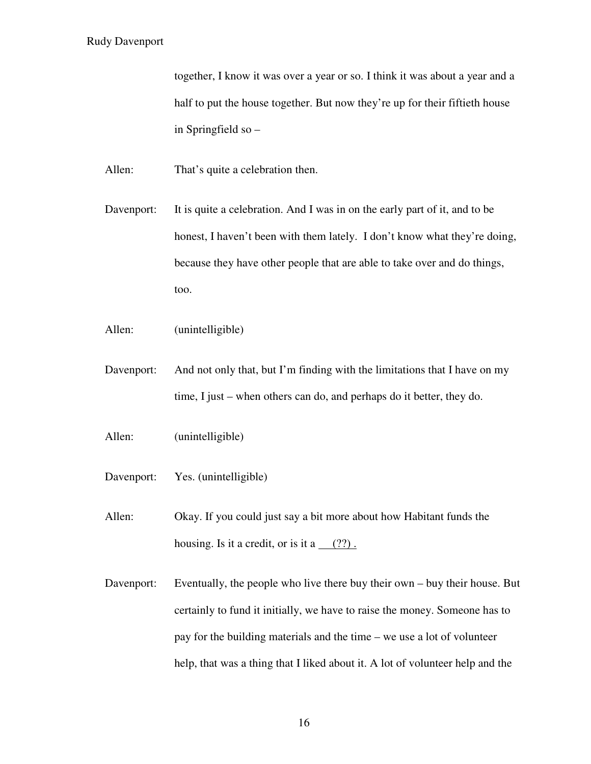together, I know it was over a year or so. I think it was about a year and a half to put the house together. But now they're up for their fiftieth house in Springfield so –

Allen: That's quite a celebration then.

- Davenport: It is quite a celebration. And I was in on the early part of it, and to be honest, I haven't been with them lately. I don't know what they're doing, because they have other people that are able to take over and do things, too.
- Allen: (unintelligible)
- Davenport: And not only that, but I'm finding with the limitations that I have on my time, I just – when others can do, and perhaps do it better, they do.
- Allen: (unintelligible)
- Davenport: Yes. (unintelligible)

Allen: Okay. If you could just say a bit more about how Habitant funds the housing. Is it a credit, or is it a  $(?)$ .

Davenport: Eventually, the people who live there buy their own – buy their house. But certainly to fund it initially, we have to raise the money. Someone has to pay for the building materials and the time – we use a lot of volunteer help, that was a thing that I liked about it. A lot of volunteer help and the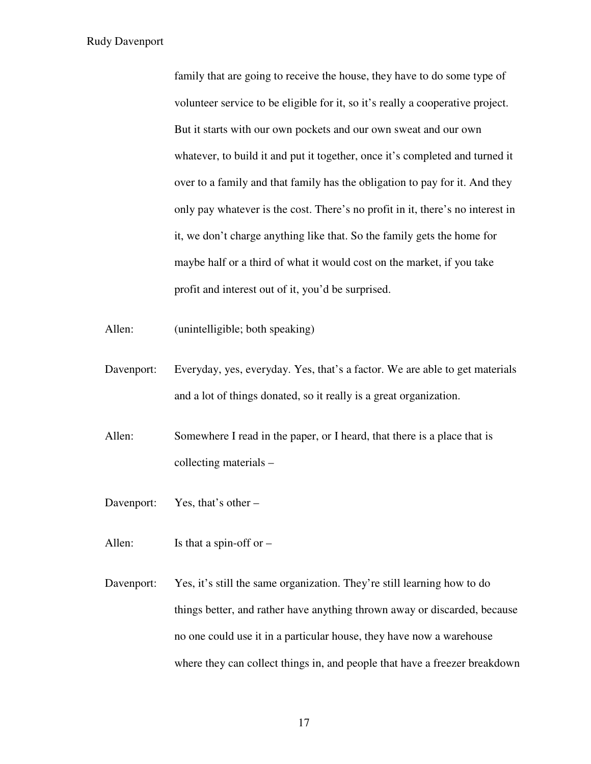family that are going to receive the house, they have to do some type of volunteer service to be eligible for it, so it's really a cooperative project. But it starts with our own pockets and our own sweat and our own whatever, to build it and put it together, once it's completed and turned it over to a family and that family has the obligation to pay for it. And they only pay whatever is the cost. There's no profit in it, there's no interest in it, we don't charge anything like that. So the family gets the home for maybe half or a third of what it would cost on the market, if you take profit and interest out of it, you'd be surprised.

- Allen: (unintelligible; both speaking)
- Davenport: Everyday, yes, everyday. Yes, that's a factor. We are able to get materials and a lot of things donated, so it really is a great organization.
- Allen: Somewhere I read in the paper, or I heard, that there is a place that is collecting materials –
- Davenport: Yes, that's other –
- Allen: Is that a spin-off or –
- Davenport: Yes, it's still the same organization. They're still learning how to do things better, and rather have anything thrown away or discarded, because no one could use it in a particular house, they have now a warehouse where they can collect things in, and people that have a freezer breakdown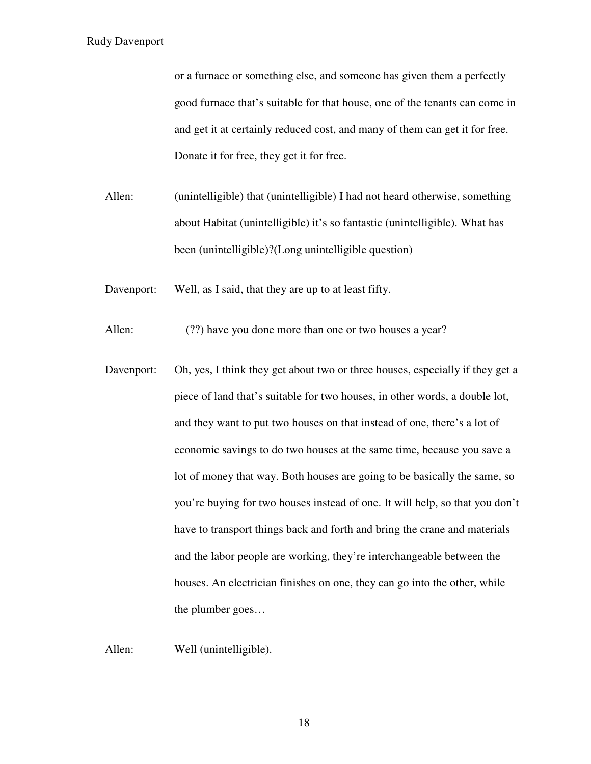or a furnace or something else, and someone has given them a perfectly good furnace that's suitable for that house, one of the tenants can come in and get it at certainly reduced cost, and many of them can get it for free. Donate it for free, they get it for free.

Allen: (unintelligible) that (unintelligible) I had not heard otherwise, something about Habitat (unintelligible) it's so fantastic (unintelligible). What has been (unintelligible)?(Long unintelligible question)

Davenport: Well, as I said, that they are up to at least fifty.

Allen: (??) have you done more than one or two houses a year?

Davenport: Oh, yes, I think they get about two or three houses, especially if they get a piece of land that's suitable for two houses, in other words, a double lot, and they want to put two houses on that instead of one, there's a lot of economic savings to do two houses at the same time, because you save a lot of money that way. Both houses are going to be basically the same, so you're buying for two houses instead of one. It will help, so that you don't have to transport things back and forth and bring the crane and materials and the labor people are working, they're interchangeable between the houses. An electrician finishes on one, they can go into the other, while the plumber goes…

Allen: Well (unintelligible).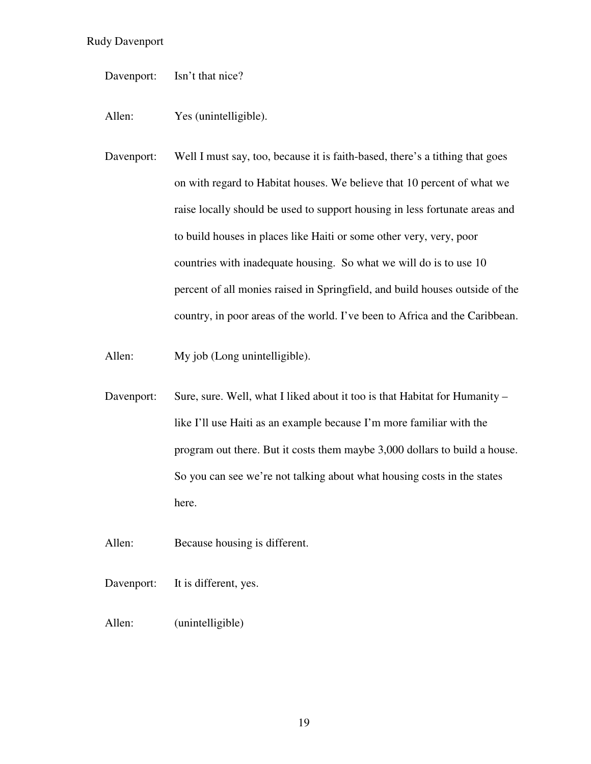Davenport: Isn't that nice?

Allen: Yes (unintelligible).

Davenport: Well I must say, too, because it is faith-based, there's a tithing that goes on with regard to Habitat houses. We believe that 10 percent of what we raise locally should be used to support housing in less fortunate areas and to build houses in places like Haiti or some other very, very, poor countries with inadequate housing. So what we will do is to use 10 percent of all monies raised in Springfield, and build houses outside of the country, in poor areas of the world. I've been to Africa and the Caribbean.

Allen: My job (Long unintelligible).

Davenport: Sure, sure. Well, what I liked about it too is that Habitat for Humanity – like I'll use Haiti as an example because I'm more familiar with the program out there. But it costs them maybe 3,000 dollars to build a house. So you can see we're not talking about what housing costs in the states here.

Allen: Because housing is different.

Davenport: It is different, yes.

Allen: (unintelligible)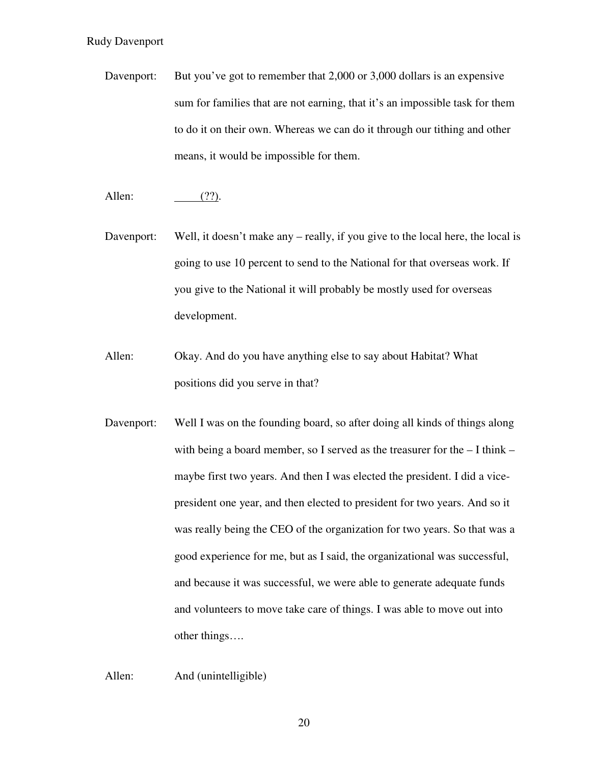- Davenport: But you've got to remember that 2,000 or 3,000 dollars is an expensive sum for families that are not earning, that it's an impossible task for them to do it on their own. Whereas we can do it through our tithing and other means, it would be impossible for them.
- Allen: (??).
- Davenport: Well, it doesn't make any really, if you give to the local here, the local is going to use 10 percent to send to the National for that overseas work. If you give to the National it will probably be mostly used for overseas development.
- Allen: Okay. And do you have anything else to say about Habitat? What positions did you serve in that?
- Davenport: Well I was on the founding board, so after doing all kinds of things along with being a board member, so I served as the treasurer for the – I think – maybe first two years. And then I was elected the president. I did a vicepresident one year, and then elected to president for two years. And so it was really being the CEO of the organization for two years. So that was a good experience for me, but as I said, the organizational was successful, and because it was successful, we were able to generate adequate funds and volunteers to move take care of things. I was able to move out into other things….

Allen: And (unintelligible)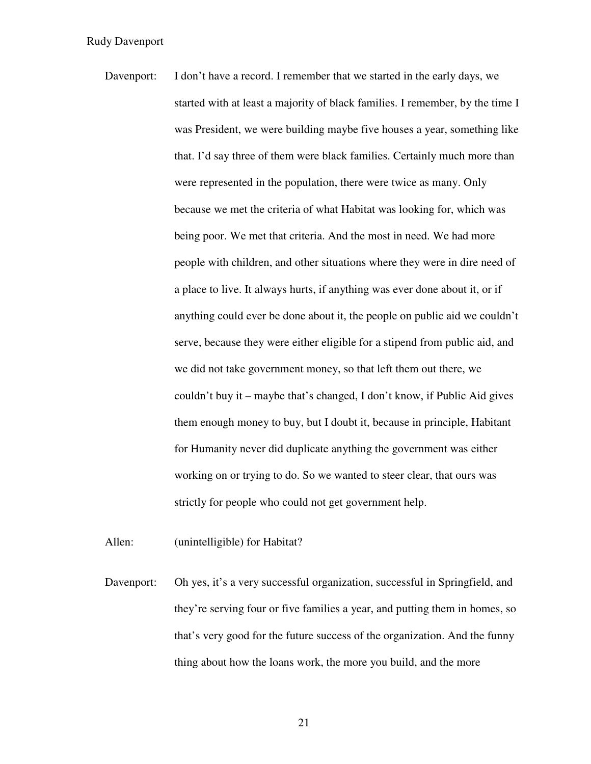Davenport: I don't have a record. I remember that we started in the early days, we started with at least a majority of black families. I remember, by the time I was President, we were building maybe five houses a year, something like that. I'd say three of them were black families. Certainly much more than were represented in the population, there were twice as many. Only because we met the criteria of what Habitat was looking for, which was being poor. We met that criteria. And the most in need. We had more people with children, and other situations where they were in dire need of a place to live. It always hurts, if anything was ever done about it, or if anything could ever be done about it, the people on public aid we couldn't serve, because they were either eligible for a stipend from public aid, and we did not take government money, so that left them out there, we couldn't buy it – maybe that's changed, I don't know, if Public Aid gives them enough money to buy, but I doubt it, because in principle, Habitant for Humanity never did duplicate anything the government was either working on or trying to do. So we wanted to steer clear, that ours was strictly for people who could not get government help.

Allen: (unintelligible) for Habitat?

Davenport: Oh yes, it's a very successful organization, successful in Springfield, and they're serving four or five families a year, and putting them in homes, so that's very good for the future success of the organization. And the funny thing about how the loans work, the more you build, and the more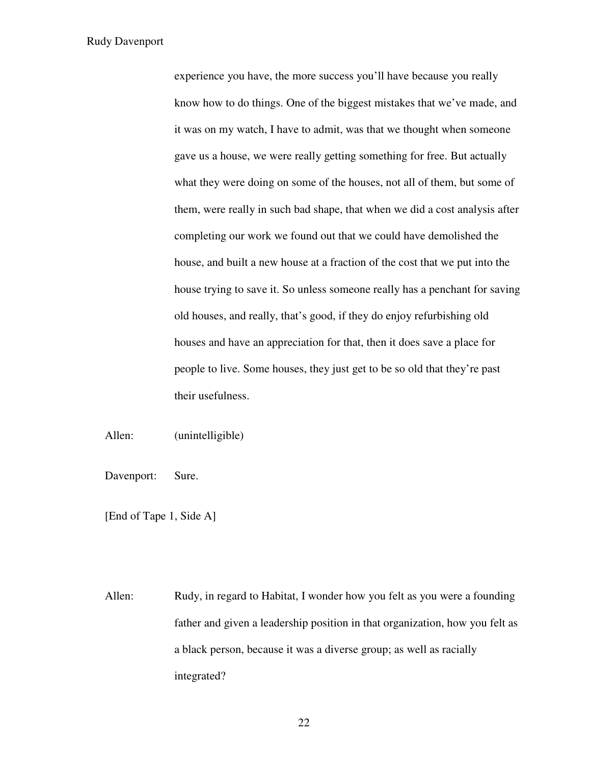experience you have, the more success you'll have because you really know how to do things. One of the biggest mistakes that we've made, and it was on my watch, I have to admit, was that we thought when someone gave us a house, we were really getting something for free. But actually what they were doing on some of the houses, not all of them, but some of them, were really in such bad shape, that when we did a cost analysis after completing our work we found out that we could have demolished the house, and built a new house at a fraction of the cost that we put into the house trying to save it. So unless someone really has a penchant for saving old houses, and really, that's good, if they do enjoy refurbishing old houses and have an appreciation for that, then it does save a place for people to live. Some houses, they just get to be so old that they're past their usefulness.

Allen: (unintelligible)

Davenport: Sure.

[End of Tape 1, Side A]

Allen: Rudy, in regard to Habitat, I wonder how you felt as you were a founding father and given a leadership position in that organization, how you felt as a black person, because it was a diverse group; as well as racially integrated?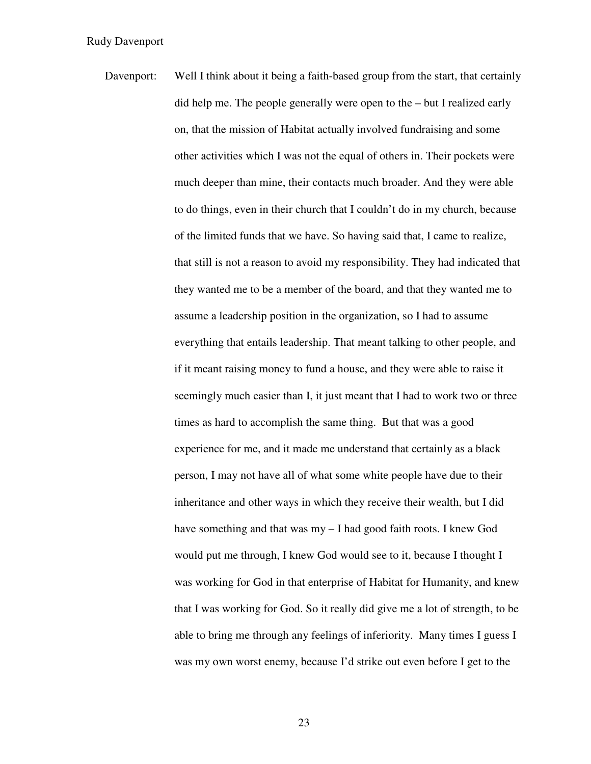Davenport: Well I think about it being a faith-based group from the start, that certainly did help me. The people generally were open to the – but I realized early on, that the mission of Habitat actually involved fundraising and some other activities which I was not the equal of others in. Their pockets were much deeper than mine, their contacts much broader. And they were able to do things, even in their church that I couldn't do in my church, because of the limited funds that we have. So having said that, I came to realize, that still is not a reason to avoid my responsibility. They had indicated that they wanted me to be a member of the board, and that they wanted me to assume a leadership position in the organization, so I had to assume everything that entails leadership. That meant talking to other people, and if it meant raising money to fund a house, and they were able to raise it seemingly much easier than I, it just meant that I had to work two or three times as hard to accomplish the same thing. But that was a good experience for me, and it made me understand that certainly as a black person, I may not have all of what some white people have due to their inheritance and other ways in which they receive their wealth, but I did have something and that was my – I had good faith roots. I knew God would put me through, I knew God would see to it, because I thought I was working for God in that enterprise of Habitat for Humanity, and knew that I was working for God. So it really did give me a lot of strength, to be able to bring me through any feelings of inferiority. Many times I guess I was my own worst enemy, because I'd strike out even before I get to the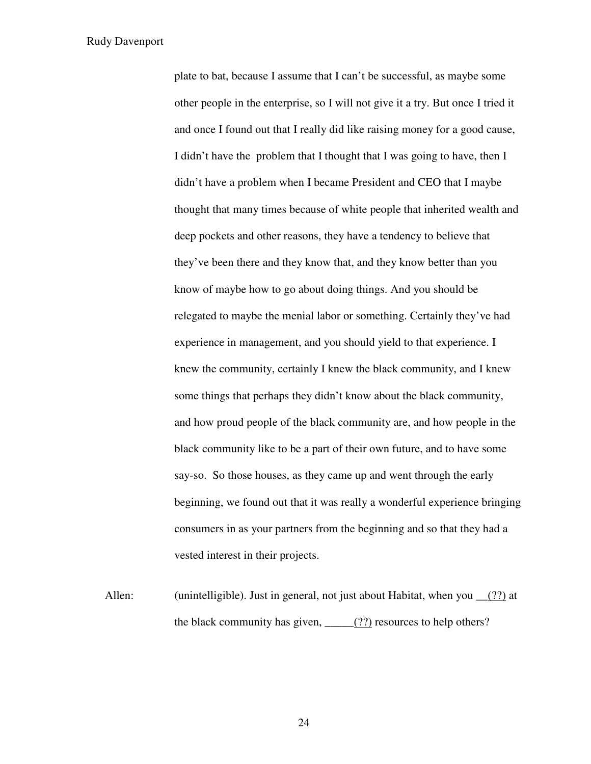plate to bat, because I assume that I can't be successful, as maybe some other people in the enterprise, so I will not give it a try. But once I tried it and once I found out that I really did like raising money for a good cause, I didn't have the problem that I thought that I was going to have, then I didn't have a problem when I became President and CEO that I maybe thought that many times because of white people that inherited wealth and deep pockets and other reasons, they have a tendency to believe that they've been there and they know that, and they know better than you know of maybe how to go about doing things. And you should be relegated to maybe the menial labor or something. Certainly they've had experience in management, and you should yield to that experience. I knew the community, certainly I knew the black community, and I knew some things that perhaps they didn't know about the black community, and how proud people of the black community are, and how people in the black community like to be a part of their own future, and to have some say-so. So those houses, as they came up and went through the early beginning, we found out that it was really a wonderful experience bringing consumers in as your partners from the beginning and so that they had a vested interest in their projects.

Allen: (unintelligible). Just in general, not just about Habitat, when you (??) at the black community has given,  $\frac{(\cdot)}{(\cdot)}$  resources to help others?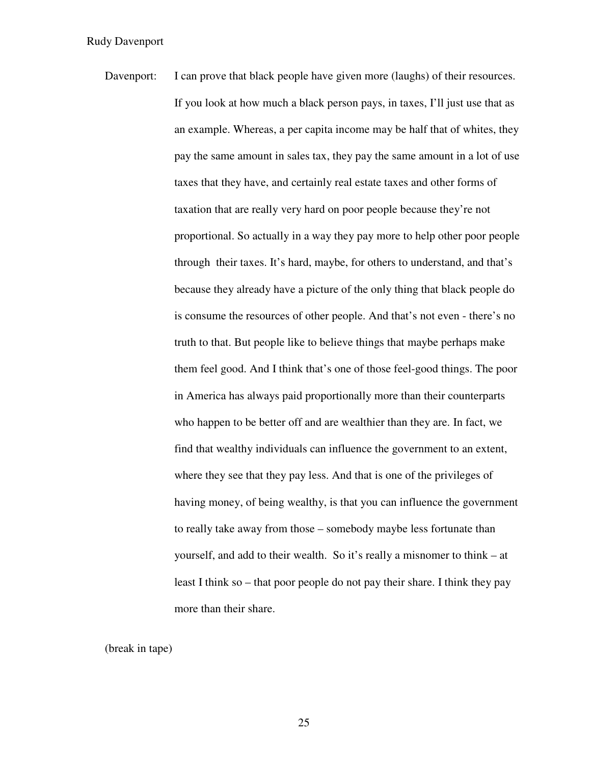Davenport: I can prove that black people have given more (laughs) of their resources. If you look at how much a black person pays, in taxes, I'll just use that as an example. Whereas, a per capita income may be half that of whites, they pay the same amount in sales tax, they pay the same amount in a lot of use taxes that they have, and certainly real estate taxes and other forms of taxation that are really very hard on poor people because they're not proportional. So actually in a way they pay more to help other poor people through their taxes. It's hard, maybe, for others to understand, and that's because they already have a picture of the only thing that black people do is consume the resources of other people. And that's not even - there's no truth to that. But people like to believe things that maybe perhaps make them feel good. And I think that's one of those feel-good things. The poor in America has always paid proportionally more than their counterparts who happen to be better off and are wealthier than they are. In fact, we find that wealthy individuals can influence the government to an extent, where they see that they pay less. And that is one of the privileges of having money, of being wealthy, is that you can influence the government to really take away from those – somebody maybe less fortunate than yourself, and add to their wealth. So it's really a misnomer to think – at least I think so – that poor people do not pay their share. I think they pay more than their share.

(break in tape)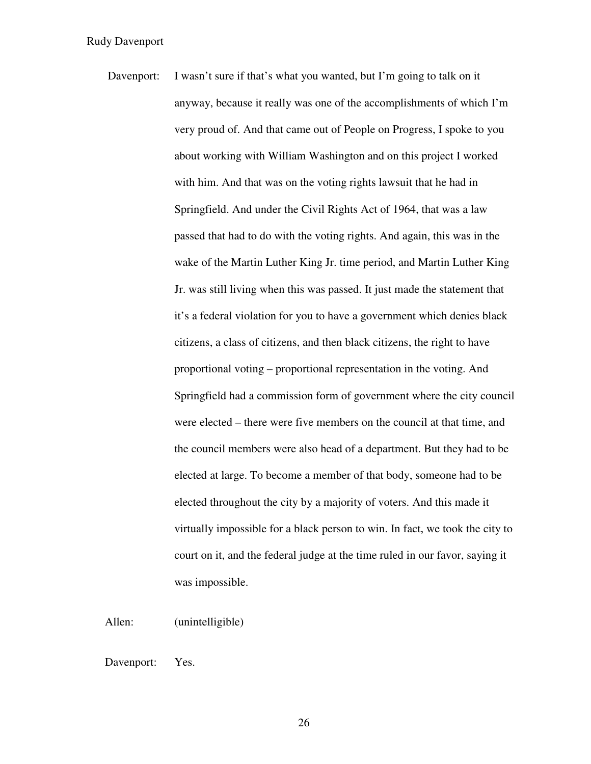Davenport: I wasn't sure if that's what you wanted, but I'm going to talk on it anyway, because it really was one of the accomplishments of which I'm very proud of. And that came out of People on Progress, I spoke to you about working with William Washington and on this project I worked with him. And that was on the voting rights lawsuit that he had in Springfield. And under the Civil Rights Act of 1964, that was a law passed that had to do with the voting rights. And again, this was in the wake of the Martin Luther King Jr. time period, and Martin Luther King Jr. was still living when this was passed. It just made the statement that it's a federal violation for you to have a government which denies black citizens, a class of citizens, and then black citizens, the right to have proportional voting – proportional representation in the voting. And Springfield had a commission form of government where the city council were elected – there were five members on the council at that time, and the council members were also head of a department. But they had to be elected at large. To become a member of that body, someone had to be elected throughout the city by a majority of voters. And this made it virtually impossible for a black person to win. In fact, we took the city to court on it, and the federal judge at the time ruled in our favor, saying it was impossible.

Allen: (unintelligible)

Davenport: Yes.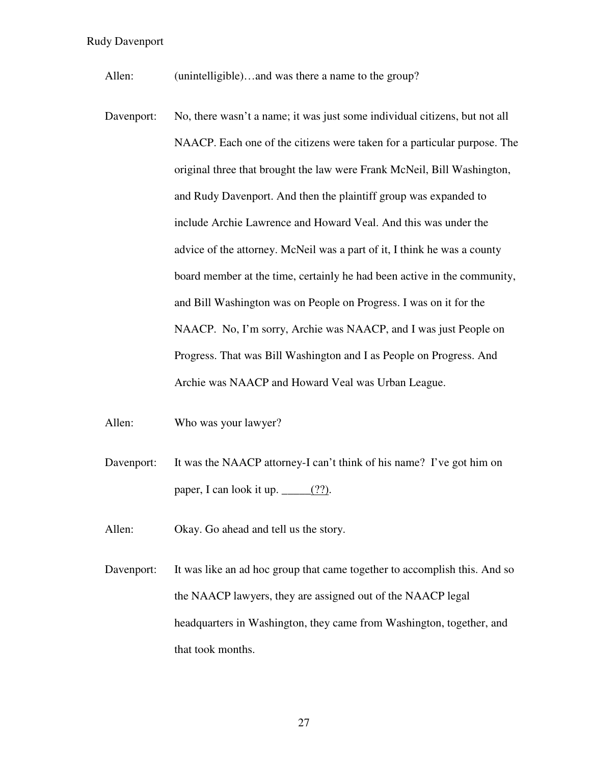Allen: (unintelligible)...and was there a name to the group?

- Davenport: No, there wasn't a name; it was just some individual citizens, but not all NAACP. Each one of the citizens were taken for a particular purpose. The original three that brought the law were Frank McNeil, Bill Washington, and Rudy Davenport. And then the plaintiff group was expanded to include Archie Lawrence and Howard Veal. And this was under the advice of the attorney. McNeil was a part of it, I think he was a county board member at the time, certainly he had been active in the community, and Bill Washington was on People on Progress. I was on it for the NAACP. No, I'm sorry, Archie was NAACP, and I was just People on Progress. That was Bill Washington and I as People on Progress. And Archie was NAACP and Howard Veal was Urban League.
- Allen: Who was your lawyer?
- Davenport: It was the NAACP attorney-I can't think of his name? I've got him on paper, I can look it up.  $\underline{\qquad (??)}$ .
- Allen: Okay. Go ahead and tell us the story.
- Davenport: It was like an ad hoc group that came together to accomplish this. And so the NAACP lawyers, they are assigned out of the NAACP legal headquarters in Washington, they came from Washington, together, and that took months.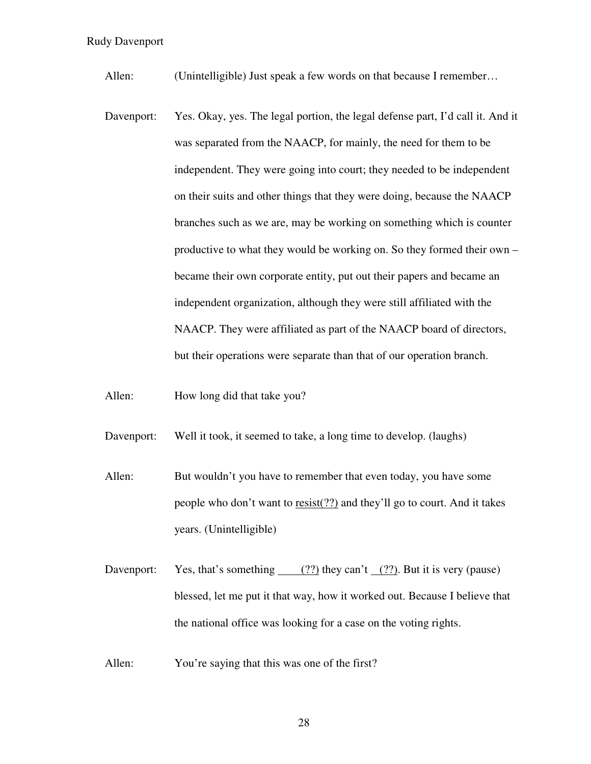Allen: (Unintelligible) Just speak a few words on that because I remember...

Davenport: Yes. Okay, yes. The legal portion, the legal defense part, I'd call it. And it was separated from the NAACP, for mainly, the need for them to be independent. They were going into court; they needed to be independent on their suits and other things that they were doing, because the NAACP branches such as we are, may be working on something which is counter productive to what they would be working on. So they formed their own – became their own corporate entity, put out their papers and became an independent organization, although they were still affiliated with the NAACP. They were affiliated as part of the NAACP board of directors, but their operations were separate than that of our operation branch.

Allen: How long did that take you?

Davenport: Well it took, it seemed to take, a long time to develop. (laughs)

- Allen: But wouldn't you have to remember that even today, you have some people who don't want to resist(??) and they'll go to court. And it takes years. (Unintelligible)
- Davenport: Yes, that's something (??) they can't (??). But it is very (pause) blessed, let me put it that way, how it worked out. Because I believe that the national office was looking for a case on the voting rights.

Allen: You're saying that this was one of the first?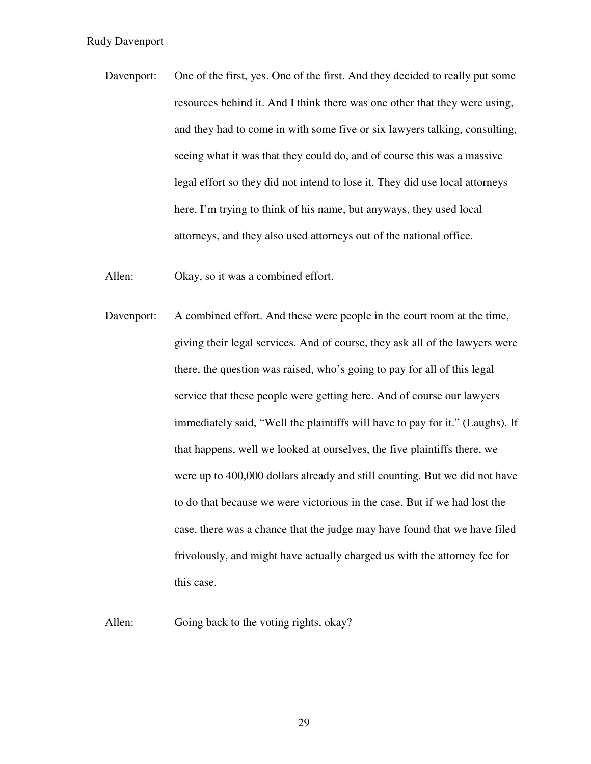- Davenport: One of the first, yes. One of the first. And they decided to really put some resources behind it. And I think there was one other that they were using, and they had to come in with some five or six lawyers talking, consulting, seeing what it was that they could do, and of course this was a massive legal effort so they did not intend to lose it. They did use local attorneys here, I'm trying to think of his name, but anyways, they used local attorneys, and they also used attorneys out of the national office.
- Allen: Okay, so it was a combined effort.
- Davenport: A combined effort. And these were people in the court room at the time, giving their legal services. And of course, they ask all of the lawyers were there, the question was raised, who's going to pay for all of this legal service that these people were getting here. And of course our lawyers immediately said, "Well the plaintiffs will have to pay for it." (Laughs). If that happens, well we looked at ourselves, the five plaintiffs there, we were up to 400,000 dollars already and still counting. But we did not have to do that because we were victorious in the case. But if we had lost the case, there was a chance that the judge may have found that we have filed frivolously, and might have actually charged us with the attorney fee for this case.

Allen: Going back to the voting rights, okay?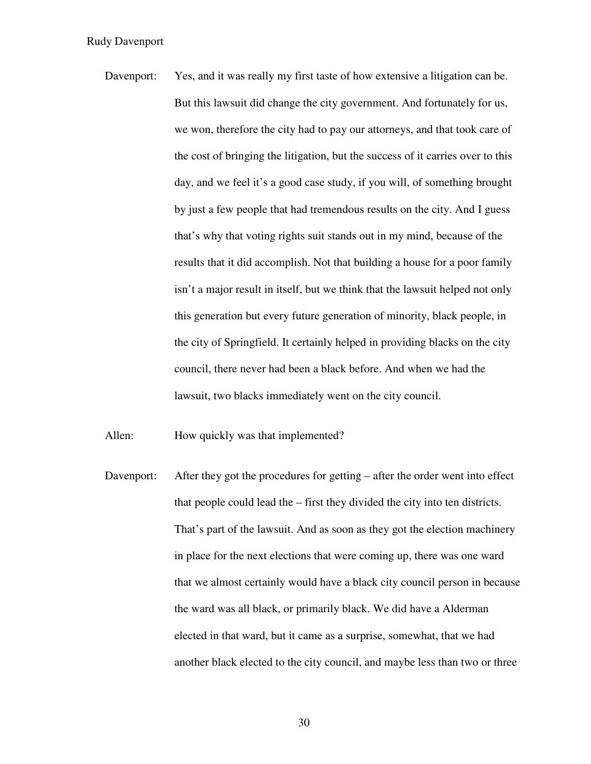Davenport: Yes, and it was really my first taste of how extensive a litigation can be. But this lawsuit did change the city government. And fortunately for us, we won, therefore the city had to pay our attorneys, and that took care of the cost of bringing the litigation, but the success of it carries over to this day, and we feel it's a good case study, if you will, of something brought by just a few people that had tremendous results on the city. And I guess that's why that voting rights suit stands out in my mind, because of the results that it did accomplish. Not that building a house for a poor family isn't a major result in itself, but we think that the lawsuit helped not only this generation but every future generation of minority, black people, in the city of Springfield. It certainly helped in providing blacks on the city council, there never had been a black before. And when we had the lawsuit, two blacks immediately went on the city council.

Allen: How quickly was that implemented?

Davenport: After they got the procedures for getting – after the order went into effect that people could lead the – first they divided the city into ten districts. That's part of the lawsuit. And as soon as they got the election machinery in place for the next elections that were coming up, there was one ward that we almost certainly would have a black city council person in because the ward was all black, or primarily black. We did have a Alderman elected in that ward, but it came as a surprise, somewhat, that we had another black elected to the city council, and maybe less than two or three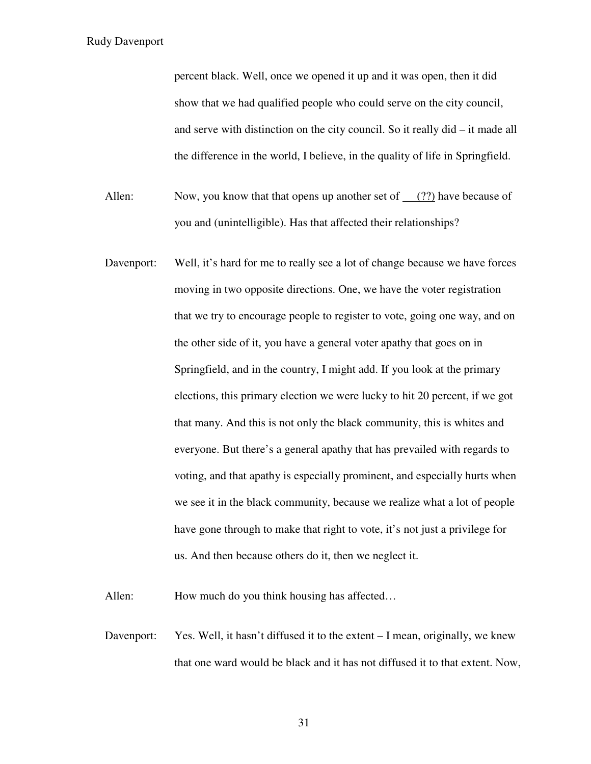percent black. Well, once we opened it up and it was open, then it did show that we had qualified people who could serve on the city council, and serve with distinction on the city council. So it really did – it made all the difference in the world, I believe, in the quality of life in Springfield.

- Allen: Now, you know that that opens up another set of (??) have because of you and (unintelligible). Has that affected their relationships?
- Davenport: Well, it's hard for me to really see a lot of change because we have forces moving in two opposite directions. One, we have the voter registration that we try to encourage people to register to vote, going one way, and on the other side of it, you have a general voter apathy that goes on in Springfield, and in the country, I might add. If you look at the primary elections, this primary election we were lucky to hit 20 percent, if we got that many. And this is not only the black community, this is whites and everyone. But there's a general apathy that has prevailed with regards to voting, and that apathy is especially prominent, and especially hurts when we see it in the black community, because we realize what a lot of people have gone through to make that right to vote, it's not just a privilege for us. And then because others do it, then we neglect it.

Allen: How much do you think housing has affected...

Davenport: Yes. Well, it hasn't diffused it to the extent – I mean, originally, we knew that one ward would be black and it has not diffused it to that extent. Now,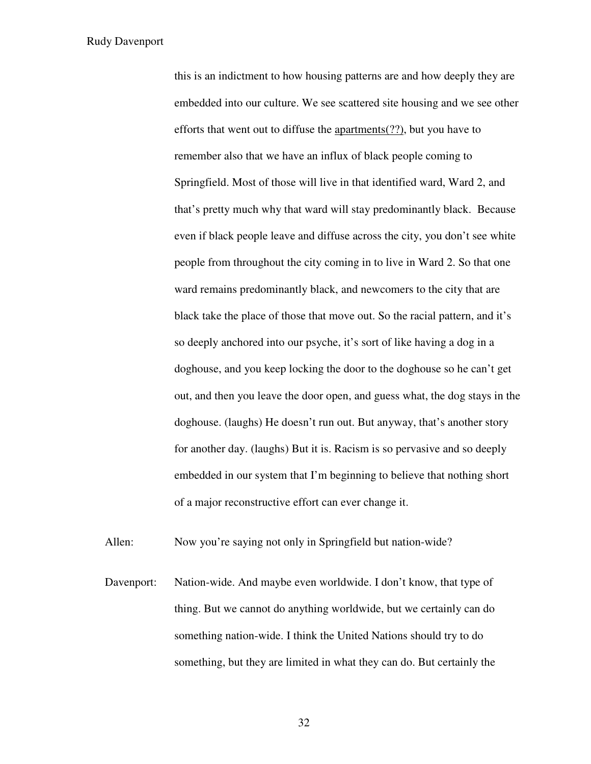this is an indictment to how housing patterns are and how deeply they are embedded into our culture. We see scattered site housing and we see other efforts that went out to diffuse the apartments(??), but you have to remember also that we have an influx of black people coming to Springfield. Most of those will live in that identified ward, Ward 2, and that's pretty much why that ward will stay predominantly black. Because even if black people leave and diffuse across the city, you don't see white people from throughout the city coming in to live in Ward 2. So that one ward remains predominantly black, and newcomers to the city that are black take the place of those that move out. So the racial pattern, and it's so deeply anchored into our psyche, it's sort of like having a dog in a doghouse, and you keep locking the door to the doghouse so he can't get out, and then you leave the door open, and guess what, the dog stays in the doghouse. (laughs) He doesn't run out. But anyway, that's another story for another day. (laughs) But it is. Racism is so pervasive and so deeply embedded in our system that I'm beginning to believe that nothing short of a major reconstructive effort can ever change it.

Allen: Now you're saying not only in Springfield but nation-wide?

Davenport: Nation-wide. And maybe even worldwide. I don't know, that type of thing. But we cannot do anything worldwide, but we certainly can do something nation-wide. I think the United Nations should try to do something, but they are limited in what they can do. But certainly the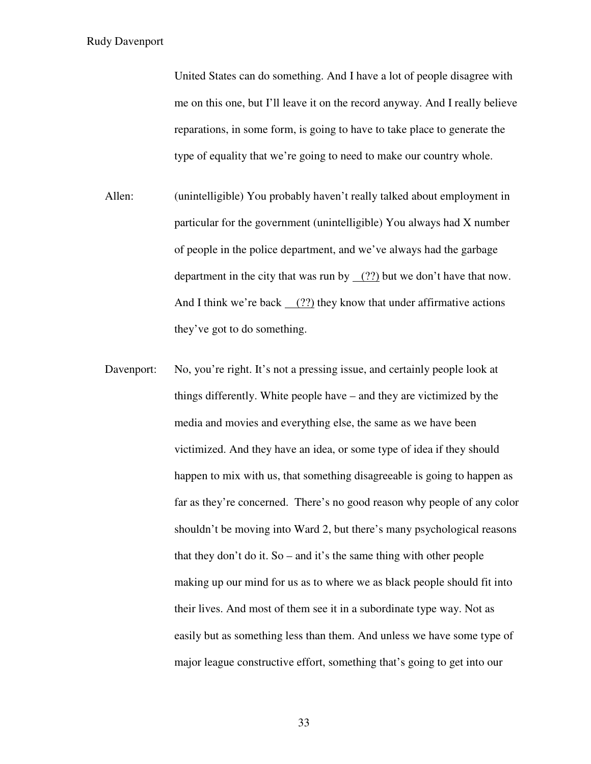United States can do something. And I have a lot of people disagree with me on this one, but I'll leave it on the record anyway. And I really believe reparations, in some form, is going to have to take place to generate the type of equality that we're going to need to make our country whole.

- Allen: (unintelligible) You probably haven't really talked about employment in particular for the government (unintelligible) You always had X number of people in the police department, and we've always had the garbage department in the city that was run by (??) but we don't have that now. And I think we're back  $(?)$  they know that under affirmative actions they've got to do something.
- Davenport: No, you're right. It's not a pressing issue, and certainly people look at things differently. White people have – and they are victimized by the media and movies and everything else, the same as we have been victimized. And they have an idea, or some type of idea if they should happen to mix with us, that something disagreeable is going to happen as far as they're concerned. There's no good reason why people of any color shouldn't be moving into Ward 2, but there's many psychological reasons that they don't do it. So – and it's the same thing with other people making up our mind for us as to where we as black people should fit into their lives. And most of them see it in a subordinate type way. Not as easily but as something less than them. And unless we have some type of major league constructive effort, something that's going to get into our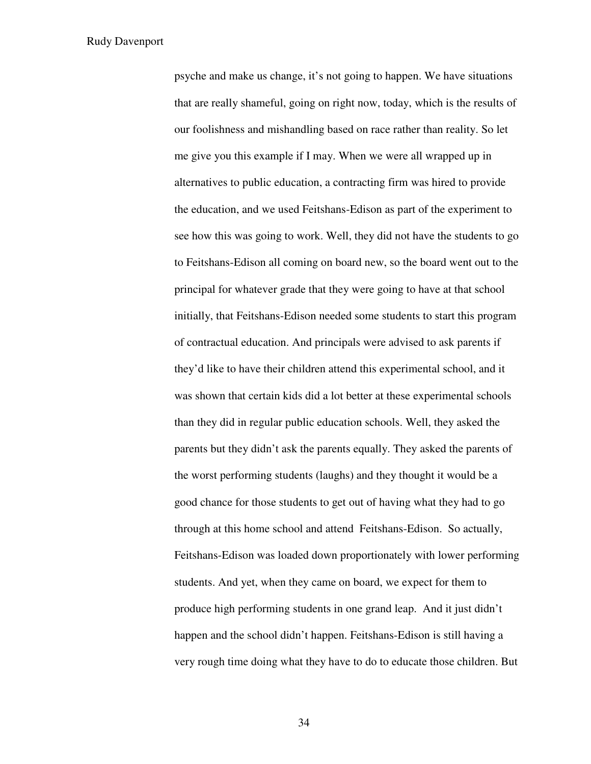psyche and make us change, it's not going to happen. We have situations that are really shameful, going on right now, today, which is the results of our foolishness and mishandling based on race rather than reality. So let me give you this example if I may. When we were all wrapped up in alternatives to public education, a contracting firm was hired to provide the education, and we used Feitshans-Edison as part of the experiment to see how this was going to work. Well, they did not have the students to go to Feitshans-Edison all coming on board new, so the board went out to the principal for whatever grade that they were going to have at that school initially, that Feitshans-Edison needed some students to start this program of contractual education. And principals were advised to ask parents if they'd like to have their children attend this experimental school, and it was shown that certain kids did a lot better at these experimental schools than they did in regular public education schools. Well, they asked the parents but they didn't ask the parents equally. They asked the parents of the worst performing students (laughs) and they thought it would be a good chance for those students to get out of having what they had to go through at this home school and attend Feitshans-Edison. So actually, Feitshans-Edison was loaded down proportionately with lower performing students. And yet, when they came on board, we expect for them to produce high performing students in one grand leap. And it just didn't happen and the school didn't happen. Feitshans-Edison is still having a very rough time doing what they have to do to educate those children. But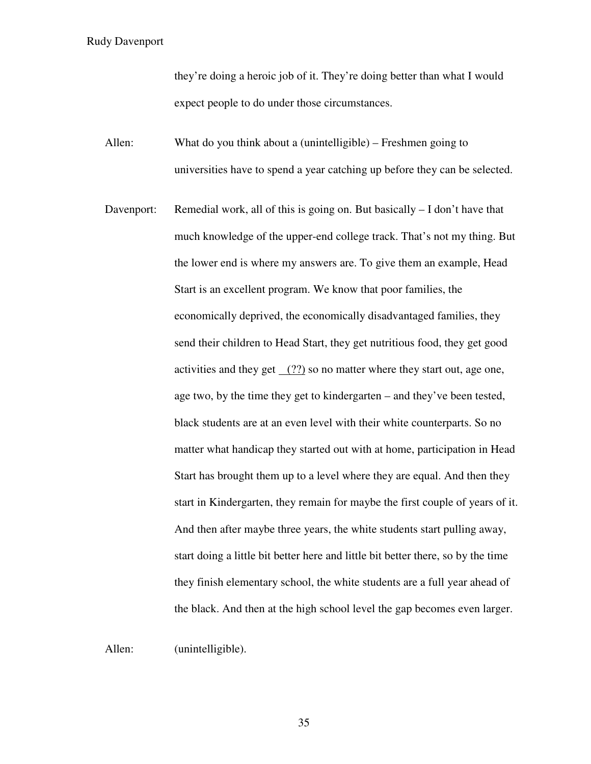they're doing a heroic job of it. They're doing better than what I would expect people to do under those circumstances.

- Allen: What do you think about a (unintelligible) Freshmen going to universities have to spend a year catching up before they can be selected.
- Davenport: Remedial work, all of this is going on. But basically I don't have that much knowledge of the upper-end college track. That's not my thing. But the lower end is where my answers are. To give them an example, Head Start is an excellent program. We know that poor families, the economically deprived, the economically disadvantaged families, they send their children to Head Start, they get nutritious food, they get good activities and they get (??) so no matter where they start out, age one, age two, by the time they get to kindergarten – and they've been tested, black students are at an even level with their white counterparts. So no matter what handicap they started out with at home, participation in Head Start has brought them up to a level where they are equal. And then they start in Kindergarten, they remain for maybe the first couple of years of it. And then after maybe three years, the white students start pulling away, start doing a little bit better here and little bit better there, so by the time they finish elementary school, the white students are a full year ahead of the black. And then at the high school level the gap becomes even larger.

Allen: (unintelligible).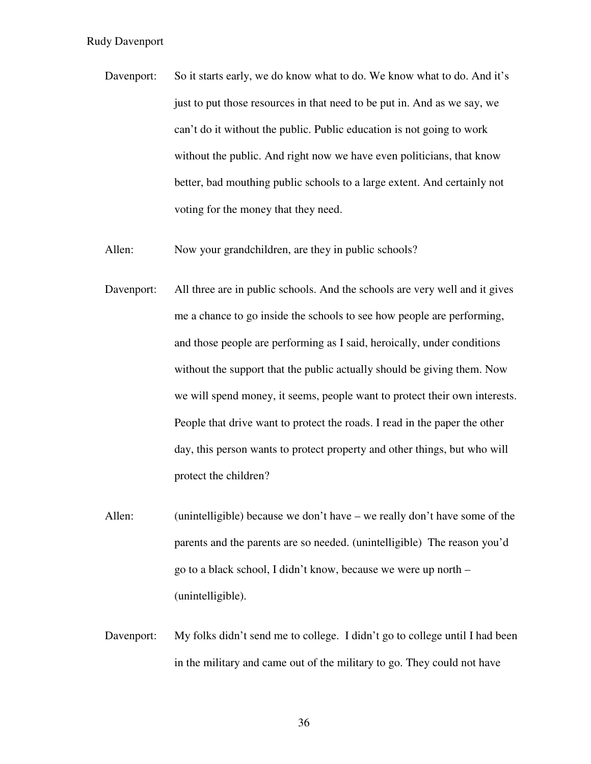- Davenport: So it starts early, we do know what to do. We know what to do. And it's just to put those resources in that need to be put in. And as we say, we can't do it without the public. Public education is not going to work without the public. And right now we have even politicians, that know better, bad mouthing public schools to a large extent. And certainly not voting for the money that they need.
- Allen: Now your grandchildren, are they in public schools?
- Davenport: All three are in public schools. And the schools are very well and it gives me a chance to go inside the schools to see how people are performing, and those people are performing as I said, heroically, under conditions without the support that the public actually should be giving them. Now we will spend money, it seems, people want to protect their own interests. People that drive want to protect the roads. I read in the paper the other day, this person wants to protect property and other things, but who will protect the children?
- Allen: (unintelligible) because we don't have we really don't have some of the parents and the parents are so needed. (unintelligible) The reason you'd go to a black school, I didn't know, because we were up north – (unintelligible).
- Davenport: My folks didn't send me to college. I didn't go to college until I had been in the military and came out of the military to go. They could not have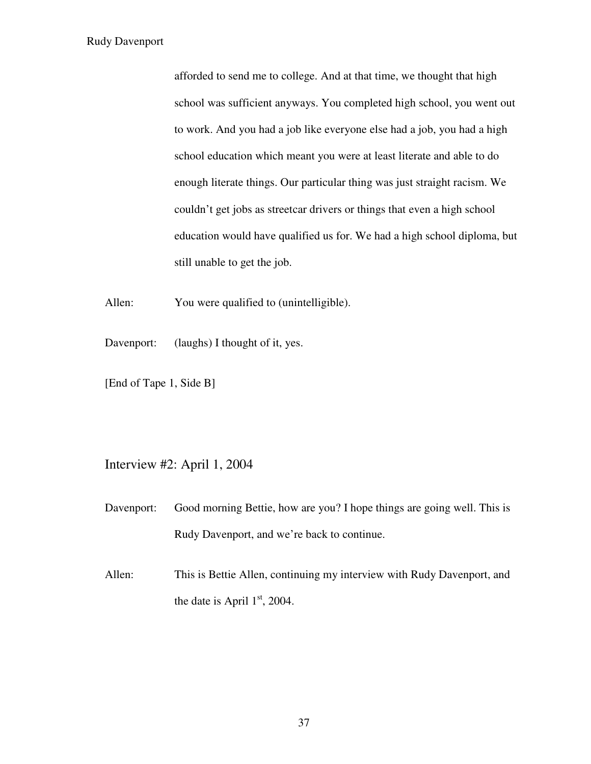afforded to send me to college. And at that time, we thought that high school was sufficient anyways. You completed high school, you went out to work. And you had a job like everyone else had a job, you had a high school education which meant you were at least literate and able to do enough literate things. Our particular thing was just straight racism. We couldn't get jobs as streetcar drivers or things that even a high school education would have qualified us for. We had a high school diploma, but still unable to get the job.

Allen: You were qualified to (unintelligible).

Davenport: (laughs) I thought of it, yes.

[End of Tape 1, Side B]

Interview #2: April 1, 2004

Davenport: Good morning Bettie, how are you? I hope things are going well. This is Rudy Davenport, and we're back to continue.

Allen: This is Bettie Allen, continuing my interview with Rudy Davenport, and the date is April  $1<sup>st</sup>$ , 2004.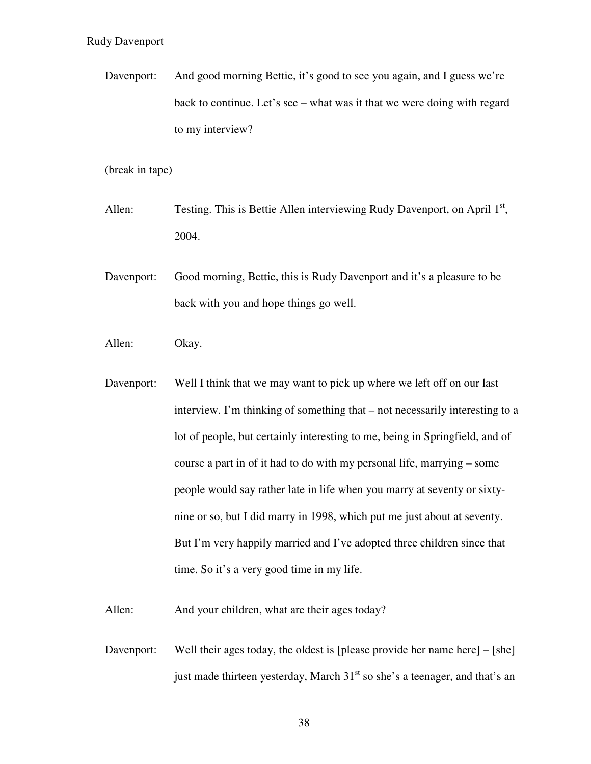Davenport: And good morning Bettie, it's good to see you again, and I guess we're back to continue. Let's see – what was it that we were doing with regard to my interview?

(break in tape)

- Allen: Testing. This is Bettie Allen interviewing Rudy Davenport, on April  $1<sup>st</sup>$ , 2004.
- Davenport: Good morning, Bettie, this is Rudy Davenport and it's a pleasure to be back with you and hope things go well.
- Allen: Okay.
- Davenport: Well I think that we may want to pick up where we left off on our last interview. I'm thinking of something that – not necessarily interesting to a lot of people, but certainly interesting to me, being in Springfield, and of course a part in of it had to do with my personal life, marrying – some people would say rather late in life when you marry at seventy or sixtynine or so, but I did marry in 1998, which put me just about at seventy. But I'm very happily married and I've adopted three children since that time. So it's a very good time in my life.

Allen: And your children, what are their ages today?

Davenport: Well their ages today, the oldest is [please provide her name here] – [she] just made thirteen yesterday, March 31<sup>st</sup> so she's a teenager, and that's an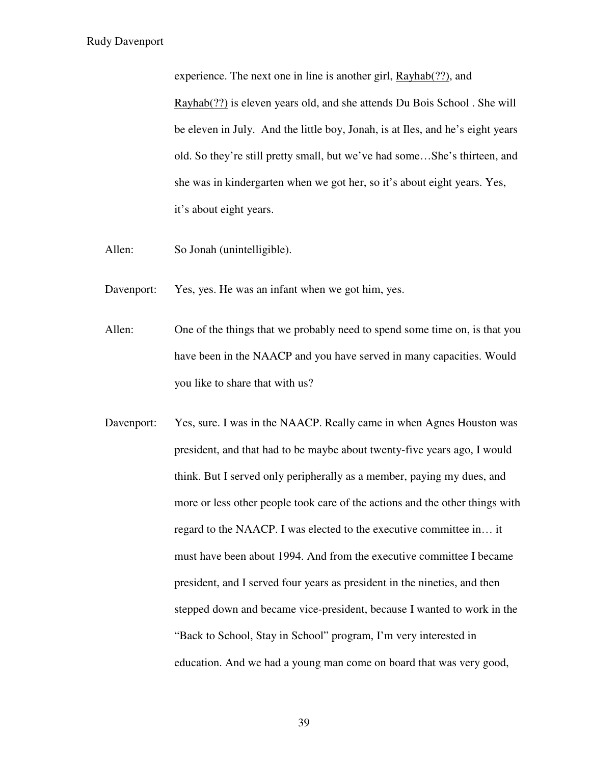experience. The next one in line is another girl, Rayhab(??), and Rayhab(??) is eleven years old, and she attends Du Bois School . She will be eleven in July. And the little boy, Jonah, is at Iles, and he's eight years old. So they're still pretty small, but we've had some…She's thirteen, and she was in kindergarten when we got her, so it's about eight years. Yes, it's about eight years.

- Allen: So Jonah (unintelligible).
- Davenport: Yes, yes. He was an infant when we got him, yes.
- Allen: One of the things that we probably need to spend some time on, is that you have been in the NAACP and you have served in many capacities. Would you like to share that with us?
- Davenport: Yes, sure. I was in the NAACP. Really came in when Agnes Houston was president, and that had to be maybe about twenty-five years ago, I would think. But I served only peripherally as a member, paying my dues, and more or less other people took care of the actions and the other things with regard to the NAACP. I was elected to the executive committee in… it must have been about 1994. And from the executive committee I became president, and I served four years as president in the nineties, and then stepped down and became vice-president, because I wanted to work in the "Back to School, Stay in School" program, I'm very interested in education. And we had a young man come on board that was very good,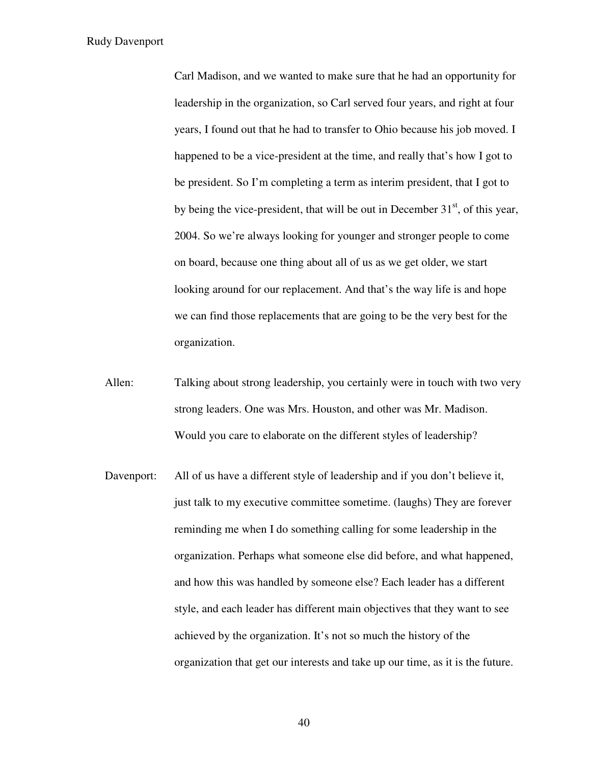Carl Madison, and we wanted to make sure that he had an opportunity for leadership in the organization, so Carl served four years, and right at four years, I found out that he had to transfer to Ohio because his job moved. I happened to be a vice-president at the time, and really that's how I got to be president. So I'm completing a term as interim president, that I got to by being the vice-president, that will be out in December  $31<sup>st</sup>$ , of this year, 2004. So we're always looking for younger and stronger people to come on board, because one thing about all of us as we get older, we start looking around for our replacement. And that's the way life is and hope we can find those replacements that are going to be the very best for the organization.

- Allen: Talking about strong leadership, you certainly were in touch with two very strong leaders. One was Mrs. Houston, and other was Mr. Madison. Would you care to elaborate on the different styles of leadership?
- Davenport: All of us have a different style of leadership and if you don't believe it, just talk to my executive committee sometime. (laughs) They are forever reminding me when I do something calling for some leadership in the organization. Perhaps what someone else did before, and what happened, and how this was handled by someone else? Each leader has a different style, and each leader has different main objectives that they want to see achieved by the organization. It's not so much the history of the organization that get our interests and take up our time, as it is the future.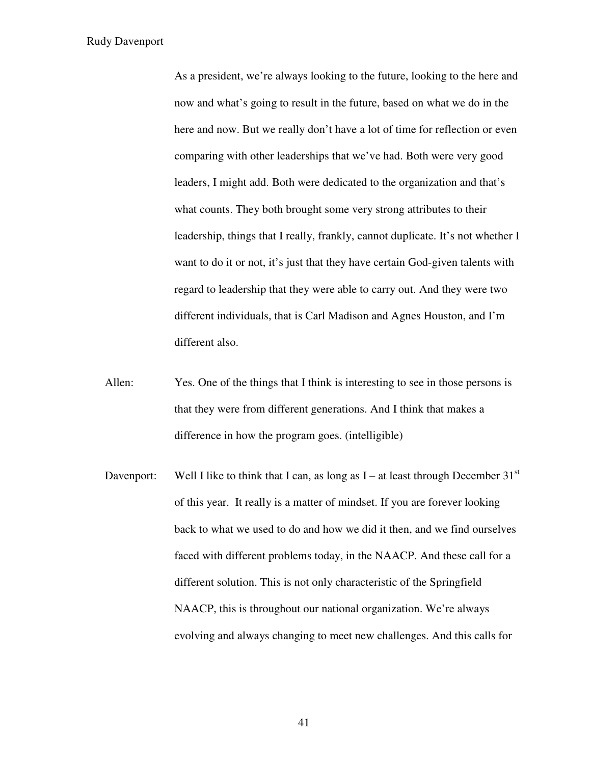As a president, we're always looking to the future, looking to the here and now and what's going to result in the future, based on what we do in the here and now. But we really don't have a lot of time for reflection or even comparing with other leaderships that we've had. Both were very good leaders, I might add. Both were dedicated to the organization and that's what counts. They both brought some very strong attributes to their leadership, things that I really, frankly, cannot duplicate. It's not whether I want to do it or not, it's just that they have certain God-given talents with regard to leadership that they were able to carry out. And they were two different individuals, that is Carl Madison and Agnes Houston, and I'm different also.

- Allen: Yes. One of the things that I think is interesting to see in those persons is that they were from different generations. And I think that makes a difference in how the program goes. (intelligible)
- Davenport: Well I like to think that I can, as long as I at least through December  $31<sup>st</sup>$ of this year. It really is a matter of mindset. If you are forever looking back to what we used to do and how we did it then, and we find ourselves faced with different problems today, in the NAACP. And these call for a different solution. This is not only characteristic of the Springfield NAACP, this is throughout our national organization. We're always evolving and always changing to meet new challenges. And this calls for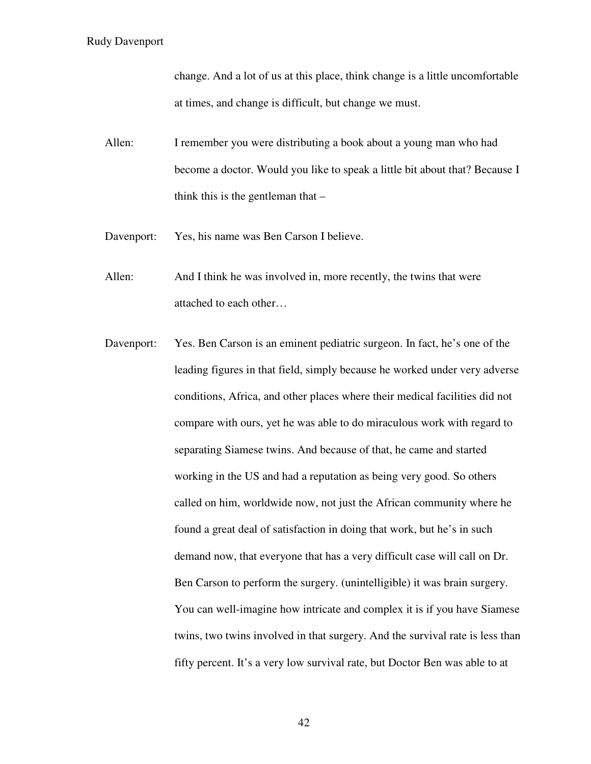change. And a lot of us at this place, think change is a little uncomfortable at times, and change is difficult, but change we must.

- Allen: I remember you were distributing a book about a young man who had become a doctor. Would you like to speak a little bit about that? Because I think this is the gentleman that  $-$
- Davenport: Yes, his name was Ben Carson I believe.
- Allen: And I think he was involved in, more recently, the twins that were attached to each other…
- Davenport: Yes. Ben Carson is an eminent pediatric surgeon. In fact, he's one of the leading figures in that field, simply because he worked under very adverse conditions, Africa, and other places where their medical facilities did not compare with ours, yet he was able to do miraculous work with regard to separating Siamese twins. And because of that, he came and started working in the US and had a reputation as being very good. So others called on him, worldwide now, not just the African community where he found a great deal of satisfaction in doing that work, but he's in such demand now, that everyone that has a very difficult case will call on Dr. Ben Carson to perform the surgery. (unintelligible) it was brain surgery. You can well-imagine how intricate and complex it is if you have Siamese twins, two twins involved in that surgery. And the survival rate is less than fifty percent. It's a very low survival rate, but Doctor Ben was able to at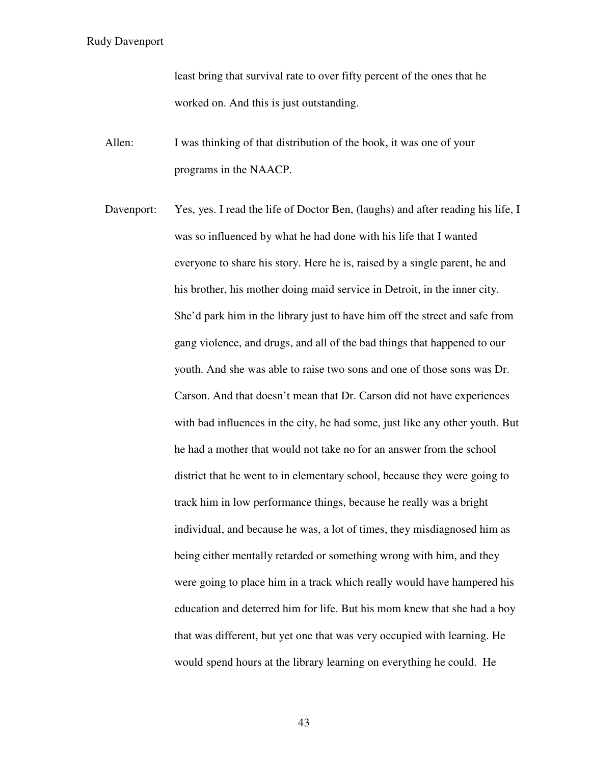least bring that survival rate to over fifty percent of the ones that he worked on. And this is just outstanding.

- Allen: I was thinking of that distribution of the book, it was one of your programs in the NAACP.
- Davenport: Yes, yes. I read the life of Doctor Ben, (laughs) and after reading his life, I was so influenced by what he had done with his life that I wanted everyone to share his story. Here he is, raised by a single parent, he and his brother, his mother doing maid service in Detroit, in the inner city. She'd park him in the library just to have him off the street and safe from gang violence, and drugs, and all of the bad things that happened to our youth. And she was able to raise two sons and one of those sons was Dr. Carson. And that doesn't mean that Dr. Carson did not have experiences with bad influences in the city, he had some, just like any other youth. But he had a mother that would not take no for an answer from the school district that he went to in elementary school, because they were going to track him in low performance things, because he really was a bright individual, and because he was, a lot of times, they misdiagnosed him as being either mentally retarded or something wrong with him, and they were going to place him in a track which really would have hampered his education and deterred him for life. But his mom knew that she had a boy that was different, but yet one that was very occupied with learning. He would spend hours at the library learning on everything he could. He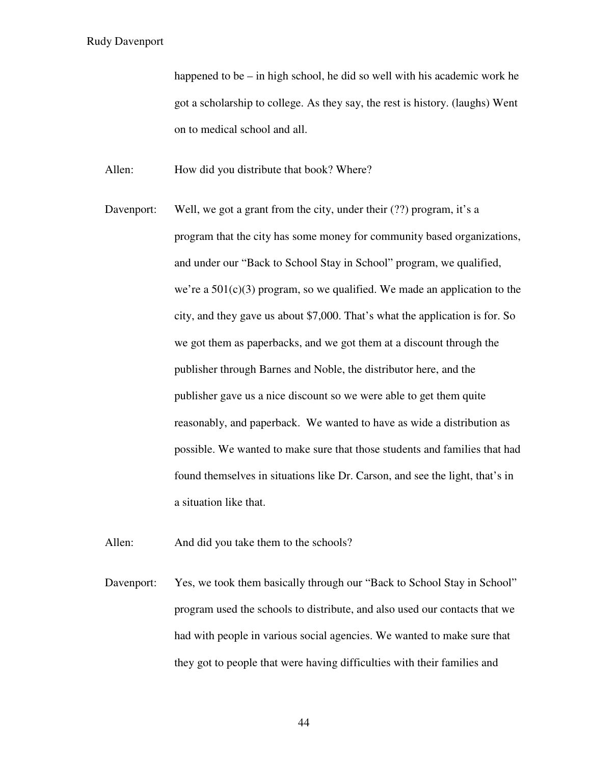happened to be – in high school, he did so well with his academic work he got a scholarship to college. As they say, the rest is history. (laughs) Went on to medical school and all.

Allen: How did you distribute that book? Where?

Davenport: Well, we got a grant from the city, under their (??) program, it's a program that the city has some money for community based organizations, and under our "Back to School Stay in School" program, we qualified, we're a  $501(c)(3)$  program, so we qualified. We made an application to the city, and they gave us about \$7,000. That's what the application is for. So we got them as paperbacks, and we got them at a discount through the publisher through Barnes and Noble, the distributor here, and the publisher gave us a nice discount so we were able to get them quite reasonably, and paperback. We wanted to have as wide a distribution as possible. We wanted to make sure that those students and families that had found themselves in situations like Dr. Carson, and see the light, that's in a situation like that.

Allen: And did you take them to the schools?

Davenport: Yes, we took them basically through our "Back to School Stay in School" program used the schools to distribute, and also used our contacts that we had with people in various social agencies. We wanted to make sure that they got to people that were having difficulties with their families and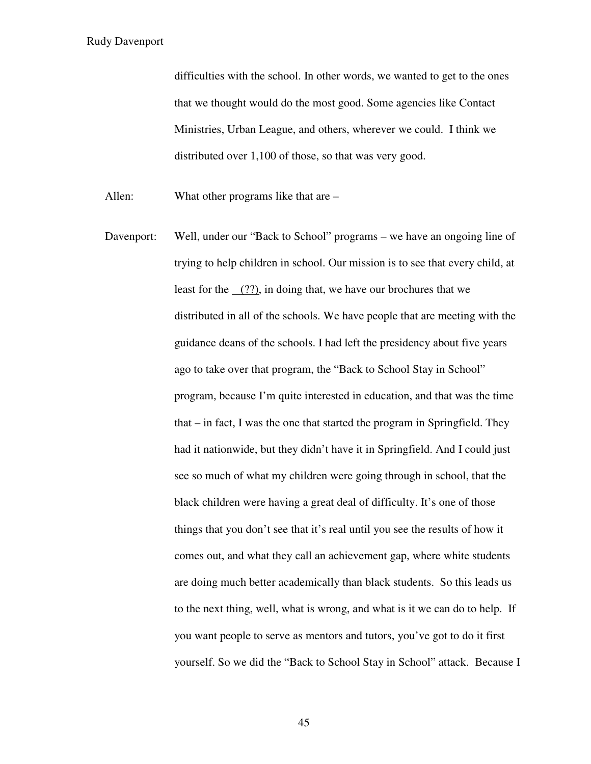difficulties with the school. In other words, we wanted to get to the ones that we thought would do the most good. Some agencies like Contact Ministries, Urban League, and others, wherever we could. I think we distributed over 1,100 of those, so that was very good.

Allen: What other programs like that are –

Davenport: Well, under our "Back to School" programs – we have an ongoing line of trying to help children in school. Our mission is to see that every child, at least for the (??), in doing that, we have our brochures that we distributed in all of the schools. We have people that are meeting with the guidance deans of the schools. I had left the presidency about five years ago to take over that program, the "Back to School Stay in School" program, because I'm quite interested in education, and that was the time that – in fact, I was the one that started the program in Springfield. They had it nationwide, but they didn't have it in Springfield. And I could just see so much of what my children were going through in school, that the black children were having a great deal of difficulty. It's one of those things that you don't see that it's real until you see the results of how it comes out, and what they call an achievement gap, where white students are doing much better academically than black students. So this leads us to the next thing, well, what is wrong, and what is it we can do to help. If you want people to serve as mentors and tutors, you've got to do it first yourself. So we did the "Back to School Stay in School" attack. Because I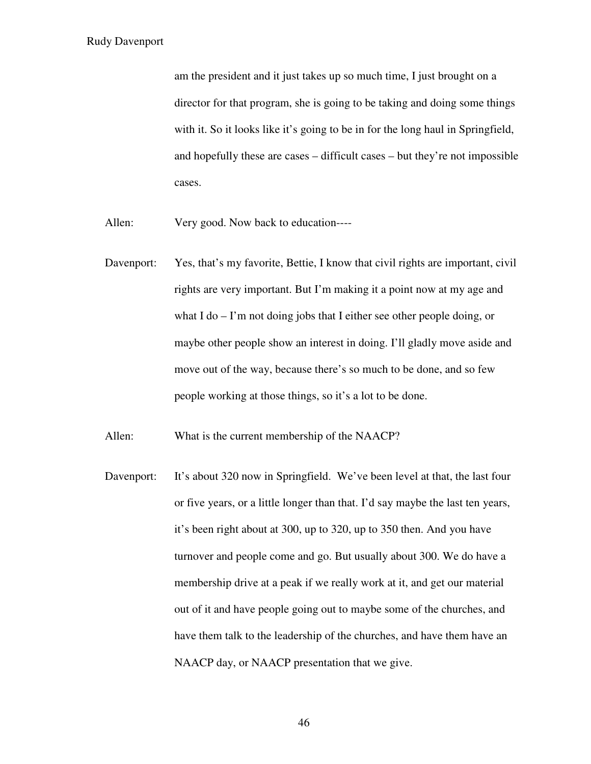am the president and it just takes up so much time, I just brought on a director for that program, she is going to be taking and doing some things with it. So it looks like it's going to be in for the long haul in Springfield, and hopefully these are cases – difficult cases – but they're not impossible cases.

- Allen: Very good. Now back to education----
- Davenport: Yes, that's my favorite, Bettie, I know that civil rights are important, civil rights are very important. But I'm making it a point now at my age and what I do – I'm not doing jobs that I either see other people doing, or maybe other people show an interest in doing. I'll gladly move aside and move out of the way, because there's so much to be done, and so few people working at those things, so it's a lot to be done.
- Allen: What is the current membership of the NAACP?
- Davenport: It's about 320 now in Springfield. We've been level at that, the last four or five years, or a little longer than that. I'd say maybe the last ten years, it's been right about at 300, up to 320, up to 350 then. And you have turnover and people come and go. But usually about 300. We do have a membership drive at a peak if we really work at it, and get our material out of it and have people going out to maybe some of the churches, and have them talk to the leadership of the churches, and have them have an NAACP day, or NAACP presentation that we give.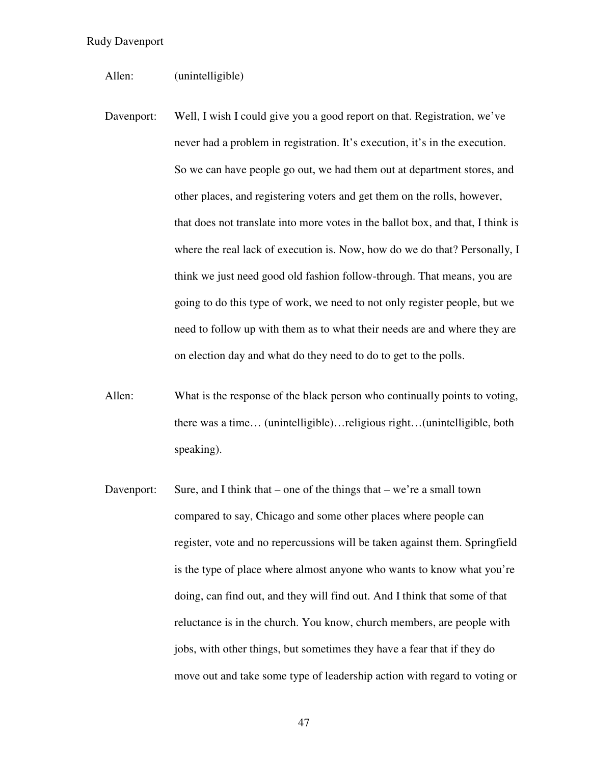- Allen: (unintelligible)
- Davenport: Well, I wish I could give you a good report on that. Registration, we've never had a problem in registration. It's execution, it's in the execution. So we can have people go out, we had them out at department stores, and other places, and registering voters and get them on the rolls, however, that does not translate into more votes in the ballot box, and that, I think is where the real lack of execution is. Now, how do we do that? Personally, I think we just need good old fashion follow-through. That means, you are going to do this type of work, we need to not only register people, but we need to follow up with them as to what their needs are and where they are on election day and what do they need to do to get to the polls.
- Allen: What is the response of the black person who continually points to voting, there was a time… (unintelligible)…religious right…(unintelligible, both speaking).
- Davenport: Sure, and I think that one of the things that we're a small town compared to say, Chicago and some other places where people can register, vote and no repercussions will be taken against them. Springfield is the type of place where almost anyone who wants to know what you're doing, can find out, and they will find out. And I think that some of that reluctance is in the church. You know, church members, are people with jobs, with other things, but sometimes they have a fear that if they do move out and take some type of leadership action with regard to voting or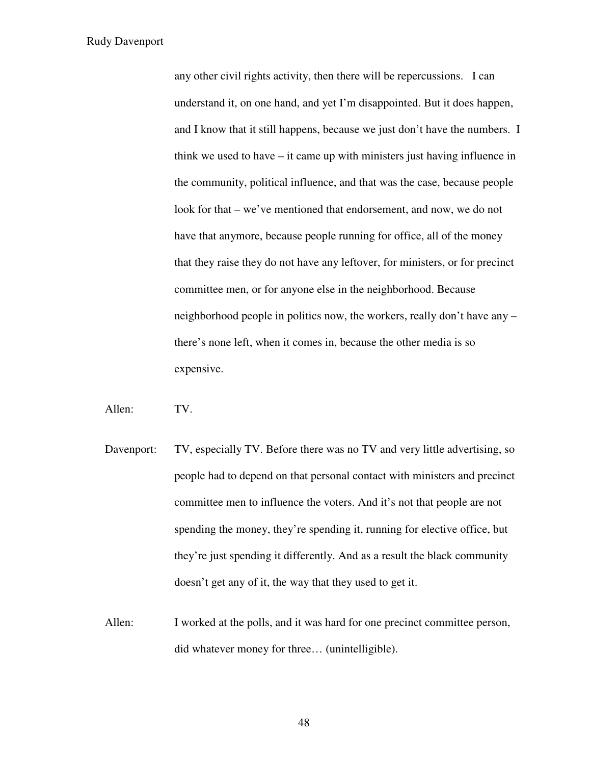any other civil rights activity, then there will be repercussions. I can understand it, on one hand, and yet I'm disappointed. But it does happen, and I know that it still happens, because we just don't have the numbers. I think we used to have – it came up with ministers just having influence in the community, political influence, and that was the case, because people look for that – we've mentioned that endorsement, and now, we do not have that anymore, because people running for office, all of the money that they raise they do not have any leftover, for ministers, or for precinct committee men, or for anyone else in the neighborhood. Because neighborhood people in politics now, the workers, really don't have any – there's none left, when it comes in, because the other media is so expensive.

- Allen: TV.
- Davenport: TV, especially TV. Before there was no TV and very little advertising, so people had to depend on that personal contact with ministers and precinct committee men to influence the voters. And it's not that people are not spending the money, they're spending it, running for elective office, but they're just spending it differently. And as a result the black community doesn't get any of it, the way that they used to get it.
- Allen: I worked at the polls, and it was hard for one precinct committee person, did whatever money for three… (unintelligible).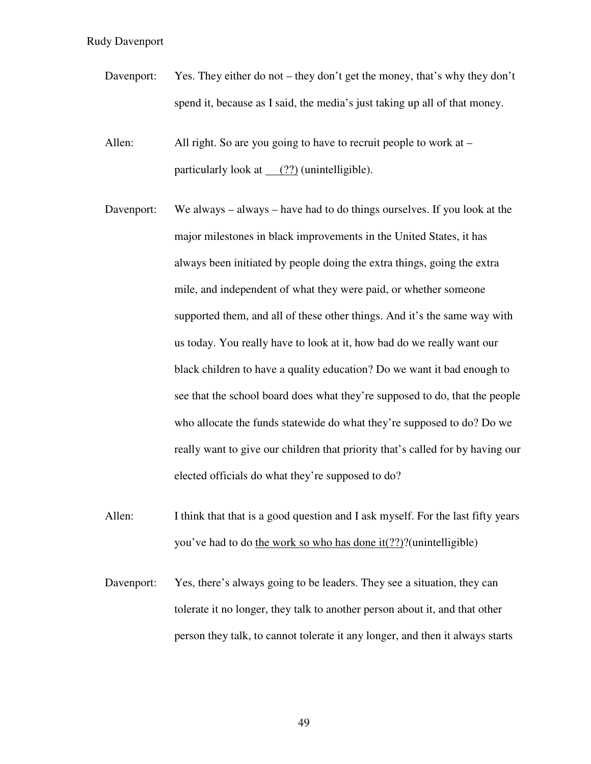- Davenport: Yes. They either do not they don't get the money, that's why they don't spend it, because as I said, the media's just taking up all of that money.
- Allen: All right. So are you going to have to recruit people to work at particularly look at (??) (unintelligible).
- Davenport: We always always have had to do things ourselves. If you look at the major milestones in black improvements in the United States, it has always been initiated by people doing the extra things, going the extra mile, and independent of what they were paid, or whether someone supported them, and all of these other things. And it's the same way with us today. You really have to look at it, how bad do we really want our black children to have a quality education? Do we want it bad enough to see that the school board does what they're supposed to do, that the people who allocate the funds statewide do what they're supposed to do? Do we really want to give our children that priority that's called for by having our elected officials do what they're supposed to do?
- Allen: I think that that is a good question and I ask myself. For the last fifty years you've had to do the work so who has done it(??)?(unintelligible)
- Davenport: Yes, there's always going to be leaders. They see a situation, they can tolerate it no longer, they talk to another person about it, and that other person they talk, to cannot tolerate it any longer, and then it always starts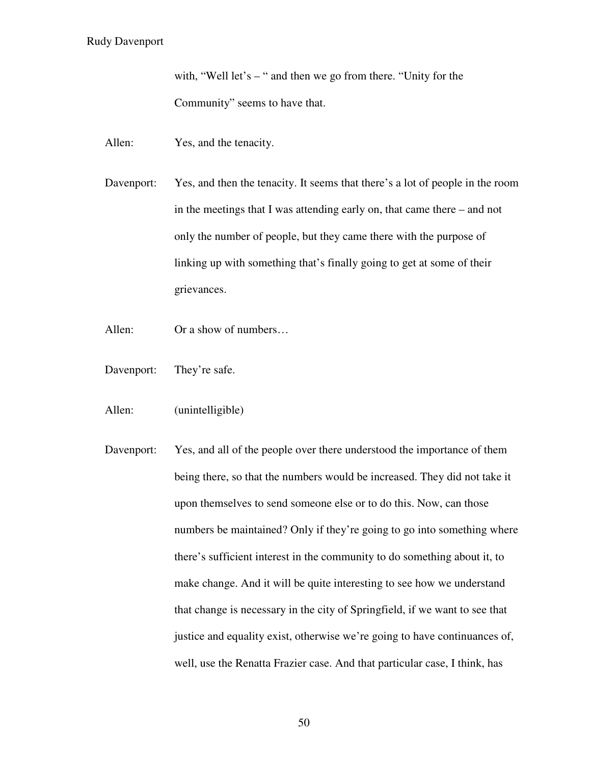with, "Well let's – " and then we go from there. "Unity for the Community" seems to have that.

- Allen: Yes, and the tenacity.
- Davenport: Yes, and then the tenacity. It seems that there's a lot of people in the room in the meetings that I was attending early on, that came there – and not only the number of people, but they came there with the purpose of linking up with something that's finally going to get at some of their grievances.
- Allen: Or a show of numbers...
- Davenport: They're safe.
- Allen: (unintelligible)
- Davenport: Yes, and all of the people over there understood the importance of them being there, so that the numbers would be increased. They did not take it upon themselves to send someone else or to do this. Now, can those numbers be maintained? Only if they're going to go into something where there's sufficient interest in the community to do something about it, to make change. And it will be quite interesting to see how we understand that change is necessary in the city of Springfield, if we want to see that justice and equality exist, otherwise we're going to have continuances of, well, use the Renatta Frazier case. And that particular case, I think, has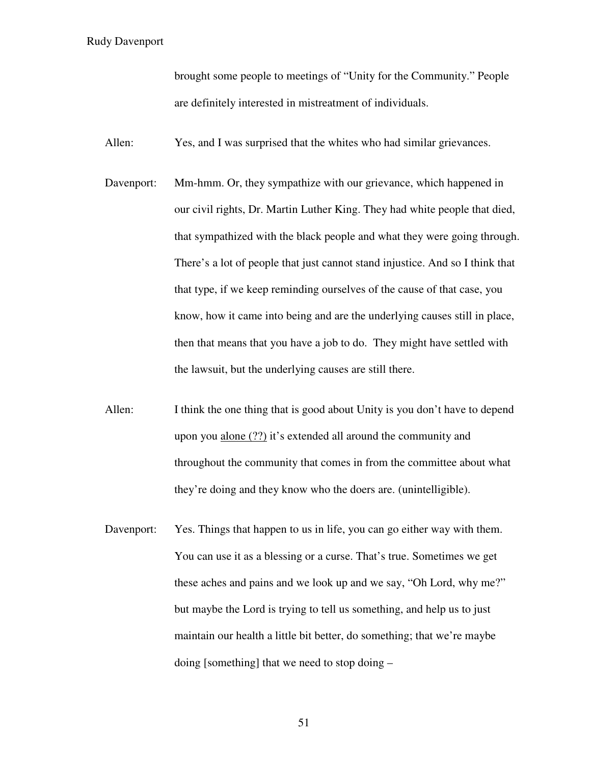brought some people to meetings of "Unity for the Community." People are definitely interested in mistreatment of individuals.

Allen: Yes, and I was surprised that the whites who had similar grievances.

- Davenport: Mm-hmm. Or, they sympathize with our grievance, which happened in our civil rights, Dr. Martin Luther King. They had white people that died, that sympathized with the black people and what they were going through. There's a lot of people that just cannot stand injustice. And so I think that that type, if we keep reminding ourselves of the cause of that case, you know, how it came into being and are the underlying causes still in place, then that means that you have a job to do. They might have settled with the lawsuit, but the underlying causes are still there.
- Allen: I think the one thing that is good about Unity is you don't have to depend upon you alone (??) it's extended all around the community and throughout the community that comes in from the committee about what they're doing and they know who the doers are. (unintelligible).
- Davenport: Yes. Things that happen to us in life, you can go either way with them. You can use it as a blessing or a curse. That's true. Sometimes we get these aches and pains and we look up and we say, "Oh Lord, why me?" but maybe the Lord is trying to tell us something, and help us to just maintain our health a little bit better, do something; that we're maybe doing [something] that we need to stop doing –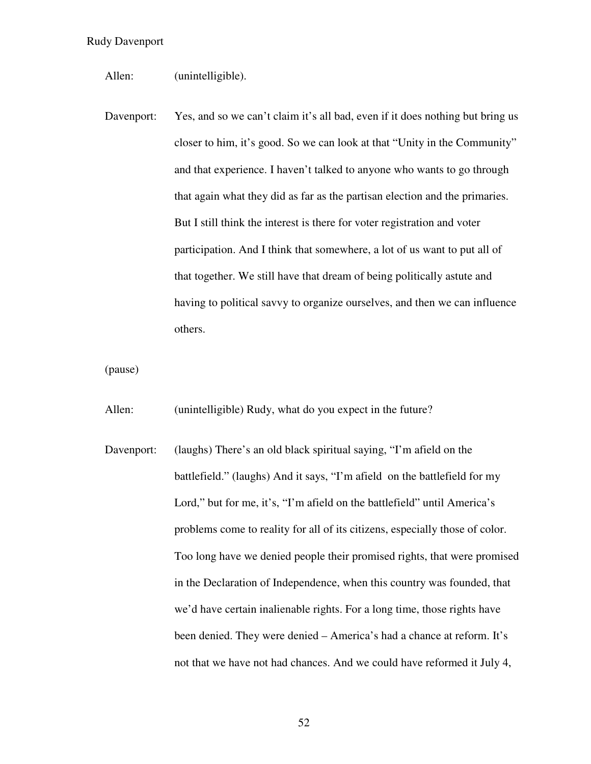- Allen: (unintelligible).
- Davenport: Yes, and so we can't claim it's all bad, even if it does nothing but bring us closer to him, it's good. So we can look at that "Unity in the Community" and that experience. I haven't talked to anyone who wants to go through that again what they did as far as the partisan election and the primaries. But I still think the interest is there for voter registration and voter participation. And I think that somewhere, a lot of us want to put all of that together. We still have that dream of being politically astute and having to political savvy to organize ourselves, and then we can influence others.

(pause)

- Allen: (unintelligible) Rudy, what do you expect in the future?
- Davenport: (laughs) There's an old black spiritual saying, "I'm afield on the battlefield." (laughs) And it says, "I'm afield on the battlefield for my Lord," but for me, it's, "I'm afield on the battlefield" until America's problems come to reality for all of its citizens, especially those of color. Too long have we denied people their promised rights, that were promised in the Declaration of Independence, when this country was founded, that we'd have certain inalienable rights. For a long time, those rights have been denied. They were denied – America's had a chance at reform. It's not that we have not had chances. And we could have reformed it July 4,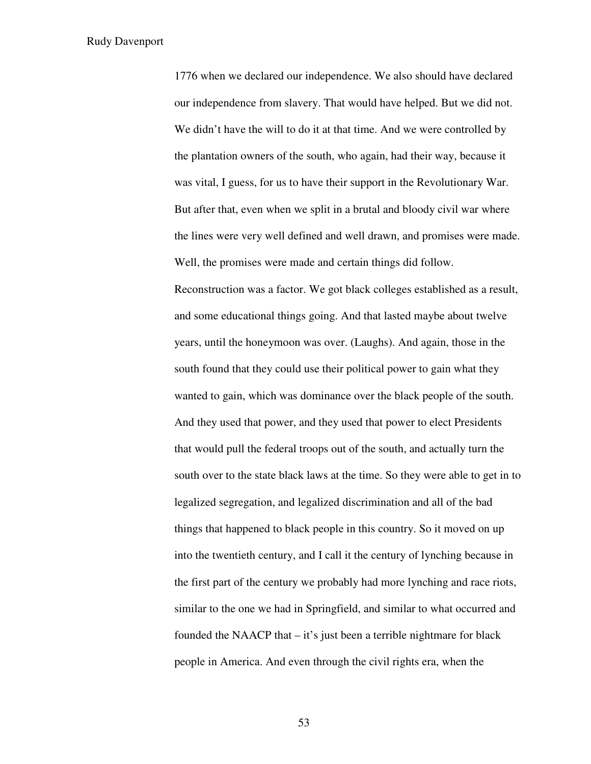1776 when we declared our independence. We also should have declared our independence from slavery. That would have helped. But we did not. We didn't have the will to do it at that time. And we were controlled by the plantation owners of the south, who again, had their way, because it was vital, I guess, for us to have their support in the Revolutionary War. But after that, even when we split in a brutal and bloody civil war where the lines were very well defined and well drawn, and promises were made. Well, the promises were made and certain things did follow. Reconstruction was a factor. We got black colleges established as a result, and some educational things going. And that lasted maybe about twelve years, until the honeymoon was over. (Laughs). And again, those in the south found that they could use their political power to gain what they wanted to gain, which was dominance over the black people of the south. And they used that power, and they used that power to elect Presidents that would pull the federal troops out of the south, and actually turn the south over to the state black laws at the time. So they were able to get in to legalized segregation, and legalized discrimination and all of the bad things that happened to black people in this country. So it moved on up into the twentieth century, and I call it the century of lynching because in the first part of the century we probably had more lynching and race riots, similar to the one we had in Springfield, and similar to what occurred and founded the NAACP that – it's just been a terrible nightmare for black people in America. And even through the civil rights era, when the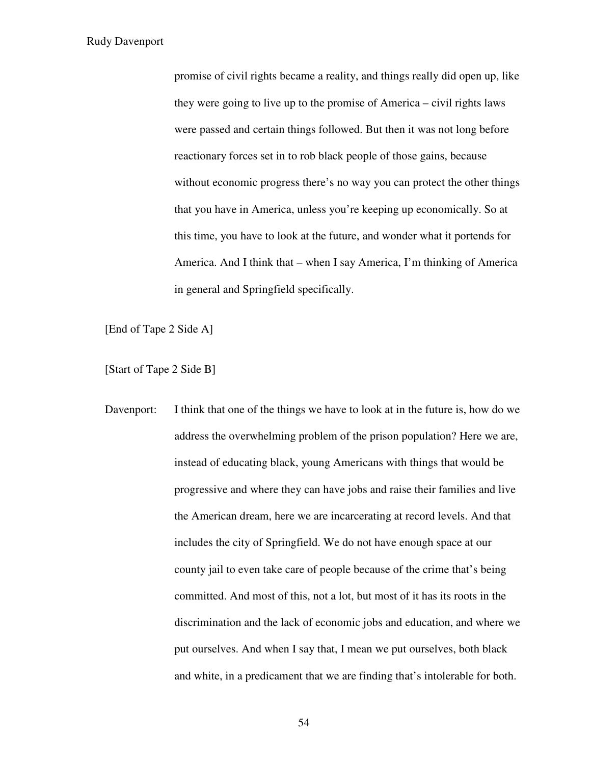promise of civil rights became a reality, and things really did open up, like they were going to live up to the promise of America – civil rights laws were passed and certain things followed. But then it was not long before reactionary forces set in to rob black people of those gains, because without economic progress there's no way you can protect the other things that you have in America, unless you're keeping up economically. So at this time, you have to look at the future, and wonder what it portends for America. And I think that – when I say America, I'm thinking of America in general and Springfield specifically.

[End of Tape 2 Side A]

[Start of Tape 2 Side B]

Davenport: I think that one of the things we have to look at in the future is, how do we address the overwhelming problem of the prison population? Here we are, instead of educating black, young Americans with things that would be progressive and where they can have jobs and raise their families and live the American dream, here we are incarcerating at record levels. And that includes the city of Springfield. We do not have enough space at our county jail to even take care of people because of the crime that's being committed. And most of this, not a lot, but most of it has its roots in the discrimination and the lack of economic jobs and education, and where we put ourselves. And when I say that, I mean we put ourselves, both black and white, in a predicament that we are finding that's intolerable for both.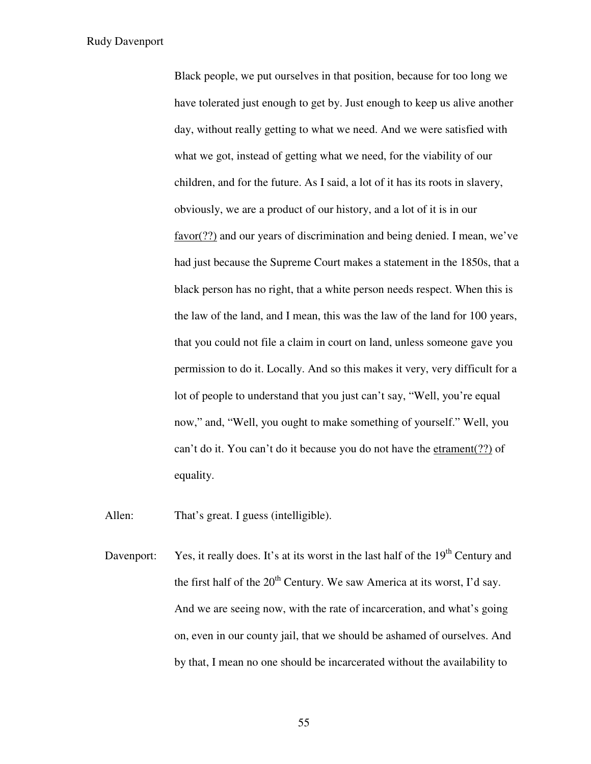Black people, we put ourselves in that position, because for too long we have tolerated just enough to get by. Just enough to keep us alive another day, without really getting to what we need. And we were satisfied with what we got, instead of getting what we need, for the viability of our children, and for the future. As I said, a lot of it has its roots in slavery, obviously, we are a product of our history, and a lot of it is in our favor(??) and our years of discrimination and being denied. I mean, we've had just because the Supreme Court makes a statement in the 1850s, that a black person has no right, that a white person needs respect. When this is the law of the land, and I mean, this was the law of the land for 100 years, that you could not file a claim in court on land, unless someone gave you permission to do it. Locally. And so this makes it very, very difficult for a lot of people to understand that you just can't say, "Well, you're equal now," and, "Well, you ought to make something of yourself." Well, you can't do it. You can't do it because you do not have the etrament(??) of equality.

Allen: That's great. I guess (intelligible).

Davenport: Yes, it really does. It's at its worst in the last half of the  $19<sup>th</sup>$  Century and the first half of the  $20<sup>th</sup>$  Century. We saw America at its worst, I'd say. And we are seeing now, with the rate of incarceration, and what's going on, even in our county jail, that we should be ashamed of ourselves. And by that, I mean no one should be incarcerated without the availability to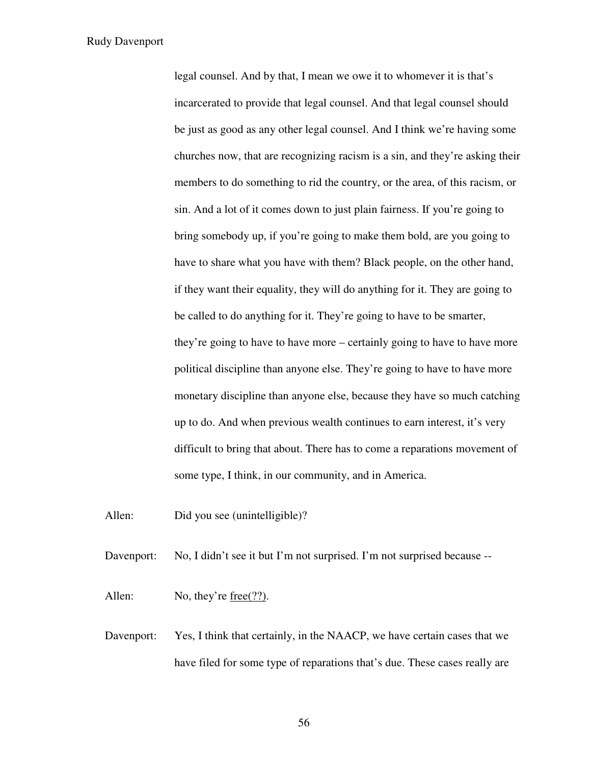legal counsel. And by that, I mean we owe it to whomever it is that's incarcerated to provide that legal counsel. And that legal counsel should be just as good as any other legal counsel. And I think we're having some churches now, that are recognizing racism is a sin, and they're asking their members to do something to rid the country, or the area, of this racism, or sin. And a lot of it comes down to just plain fairness. If you're going to bring somebody up, if you're going to make them bold, are you going to have to share what you have with them? Black people, on the other hand, if they want their equality, they will do anything for it. They are going to be called to do anything for it. They're going to have to be smarter, they're going to have to have more – certainly going to have to have more political discipline than anyone else. They're going to have to have more monetary discipline than anyone else, because they have so much catching up to do. And when previous wealth continues to earn interest, it's very difficult to bring that about. There has to come a reparations movement of some type, I think, in our community, and in America.

Allen: Did you see (unintelligible)?

Davenport: No, I didn't see it but I'm not surprised. I'm not surprised because --

- Allen: No, they're  $\text{free}(??)$ .
- Davenport: Yes, I think that certainly, in the NAACP, we have certain cases that we have filed for some type of reparations that's due. These cases really are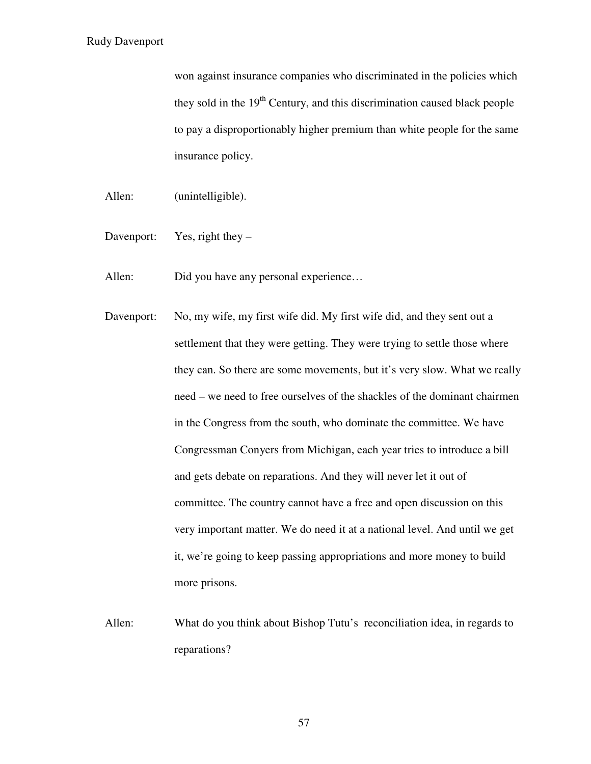won against insurance companies who discriminated in the policies which they sold in the  $19<sup>th</sup>$  Century, and this discrimination caused black people to pay a disproportionably higher premium than white people for the same insurance policy.

- Allen: (unintelligible).
- Davenport: Yes, right they –
- Allen: Did you have any personal experience...
- Davenport: No, my wife, my first wife did. My first wife did, and they sent out a settlement that they were getting. They were trying to settle those where they can. So there are some movements, but it's very slow. What we really need – we need to free ourselves of the shackles of the dominant chairmen in the Congress from the south, who dominate the committee. We have Congressman Conyers from Michigan, each year tries to introduce a bill and gets debate on reparations. And they will never let it out of committee. The country cannot have a free and open discussion on this very important matter. We do need it at a national level. And until we get it, we're going to keep passing appropriations and more money to build more prisons.
- Allen: What do you think about Bishop Tutu's reconciliation idea, in regards to reparations?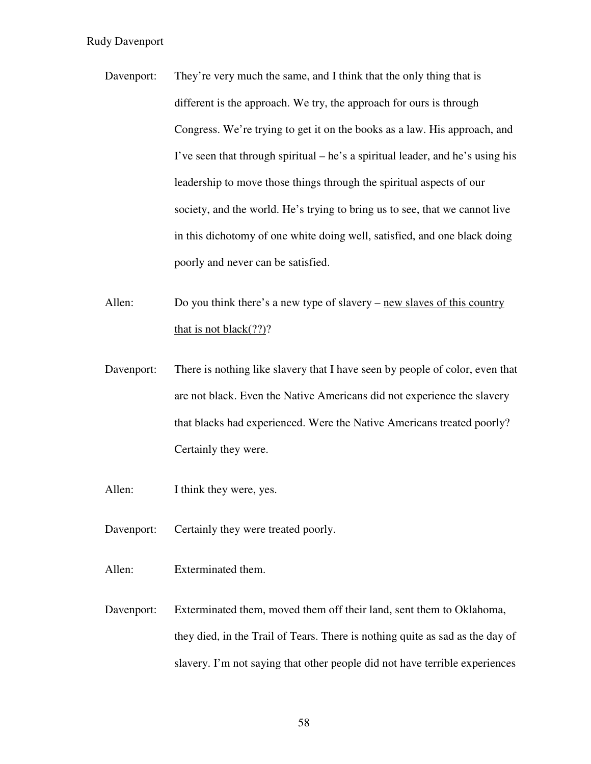- Davenport: They're very much the same, and I think that the only thing that is different is the approach. We try, the approach for ours is through Congress. We're trying to get it on the books as a law. His approach, and I've seen that through spiritual – he's a spiritual leader, and he's using his leadership to move those things through the spiritual aspects of our society, and the world. He's trying to bring us to see, that we cannot live in this dichotomy of one white doing well, satisfied, and one black doing poorly and never can be satisfied.
- Allen: Do you think there's a new type of slavery new slaves of this country that is not black $(??)$ ?
- Davenport: There is nothing like slavery that I have seen by people of color, even that are not black. Even the Native Americans did not experience the slavery that blacks had experienced. Were the Native Americans treated poorly? Certainly they were.
- Allen: I think they were, yes.
- Davenport: Certainly they were treated poorly.
- Allen: Exterminated them.
- Davenport: Exterminated them, moved them off their land, sent them to Oklahoma, they died, in the Trail of Tears. There is nothing quite as sad as the day of slavery. I'm not saying that other people did not have terrible experiences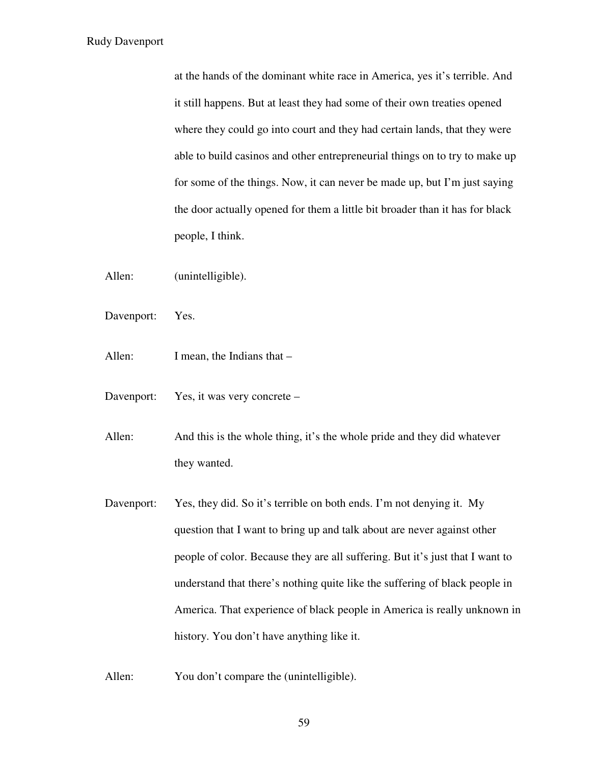at the hands of the dominant white race in America, yes it's terrible. And it still happens. But at least they had some of their own treaties opened where they could go into court and they had certain lands, that they were able to build casinos and other entrepreneurial things on to try to make up for some of the things. Now, it can never be made up, but I'm just saying the door actually opened for them a little bit broader than it has for black people, I think.

- Allen: (unintelligible).
- Davenport: Yes.
- Allen: I mean, the Indians that –
- Davenport: Yes, it was very concrete –
- Allen: And this is the whole thing, it's the whole pride and they did whatever they wanted.
- Davenport: Yes, they did. So it's terrible on both ends. I'm not denying it. My question that I want to bring up and talk about are never against other people of color. Because they are all suffering. But it's just that I want to understand that there's nothing quite like the suffering of black people in America. That experience of black people in America is really unknown in history. You don't have anything like it.
- Allen: You don't compare the (unintelligible).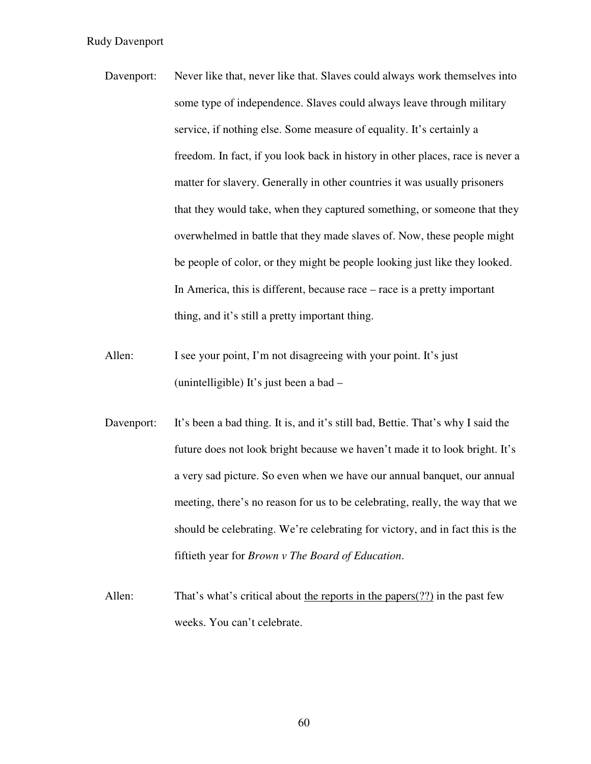- Davenport: Never like that, never like that. Slaves could always work themselves into some type of independence. Slaves could always leave through military service, if nothing else. Some measure of equality. It's certainly a freedom. In fact, if you look back in history in other places, race is never a matter for slavery. Generally in other countries it was usually prisoners that they would take, when they captured something, or someone that they overwhelmed in battle that they made slaves of. Now, these people might be people of color, or they might be people looking just like they looked. In America, this is different, because race – race is a pretty important thing, and it's still a pretty important thing.
- Allen: I see your point, I'm not disagreeing with your point. It's just (unintelligible) It's just been a bad –
- Davenport: It's been a bad thing. It is, and it's still bad, Bettie. That's why I said the future does not look bright because we haven't made it to look bright. It's a very sad picture. So even when we have our annual banquet, our annual meeting, there's no reason for us to be celebrating, really, the way that we should be celebrating. We're celebrating for victory, and in fact this is the fiftieth year for *Brown v The Board of Education*.
- Allen: That's what's critical about the reports in the papers(??) in the past few weeks. You can't celebrate.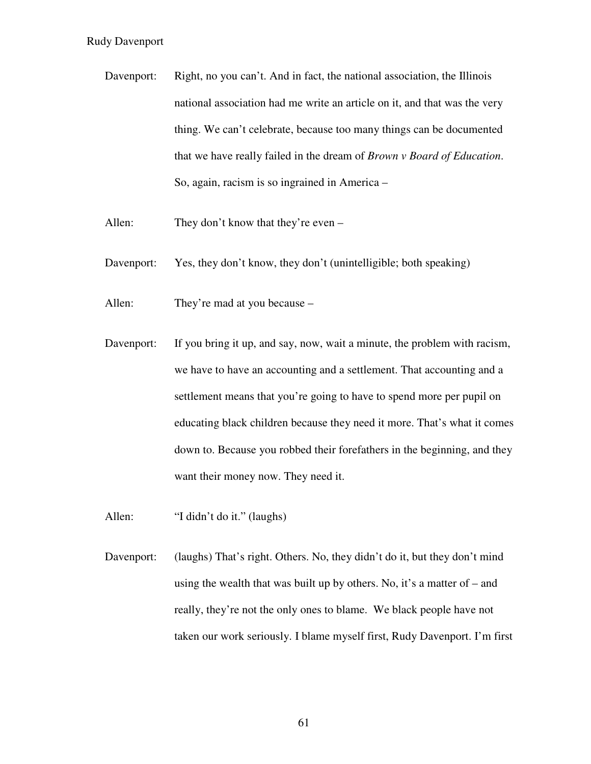- Davenport: Right, no you can't. And in fact, the national association, the Illinois national association had me write an article on it, and that was the very thing. We can't celebrate, because too many things can be documented that we have really failed in the dream of *Brown v Board of Education*. So, again, racism is so ingrained in America –
- Allen: They don't know that they're even –
- Davenport: Yes, they don't know, they don't (unintelligible; both speaking)
- Allen: They're mad at you because –
- Davenport: If you bring it up, and say, now, wait a minute, the problem with racism, we have to have an accounting and a settlement. That accounting and a settlement means that you're going to have to spend more per pupil on educating black children because they need it more. That's what it comes down to. Because you robbed their forefathers in the beginning, and they want their money now. They need it.
- Allen: "I didn't do it." (laughs)
- Davenport: (laughs) That's right. Others. No, they didn't do it, but they don't mind using the wealth that was built up by others. No, it's a matter of  $-$  and really, they're not the only ones to blame. We black people have not taken our work seriously. I blame myself first, Rudy Davenport. I'm first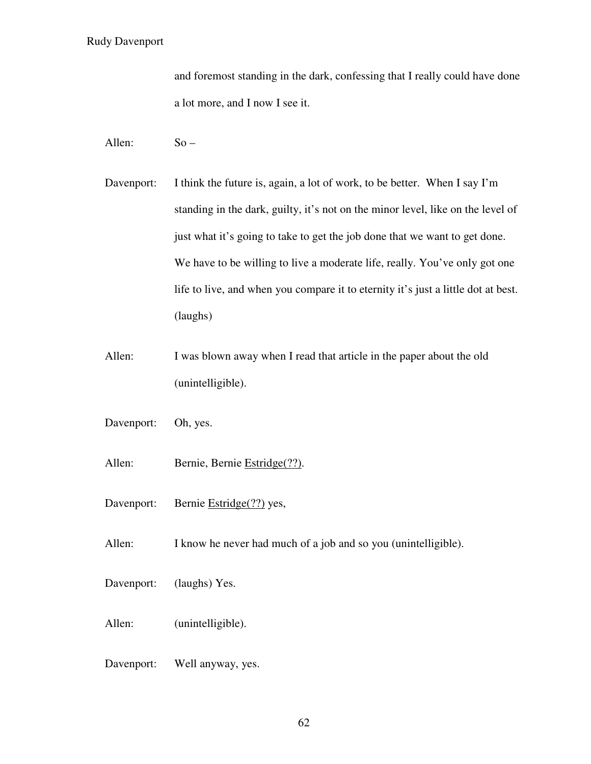and foremost standing in the dark, confessing that I really could have done a lot more, and I now I see it.

Allen: So –

- Davenport: I think the future is, again, a lot of work, to be better. When I say I'm standing in the dark, guilty, it's not on the minor level, like on the level of just what it's going to take to get the job done that we want to get done. We have to be willing to live a moderate life, really. You've only got one life to live, and when you compare it to eternity it's just a little dot at best. (laughs)
- Allen: I was blown away when I read that article in the paper about the old (unintelligible).
- Davenport: Oh, yes.
- Allen: Bernie, Bernie Estridge(??).
- Davenport: Bernie Estridge(??) yes,
- Allen: I know he never had much of a job and so you (unintelligible).
- Davenport: (laughs) Yes.
- Allen: (unintelligible).
- Davenport: Well anyway, yes.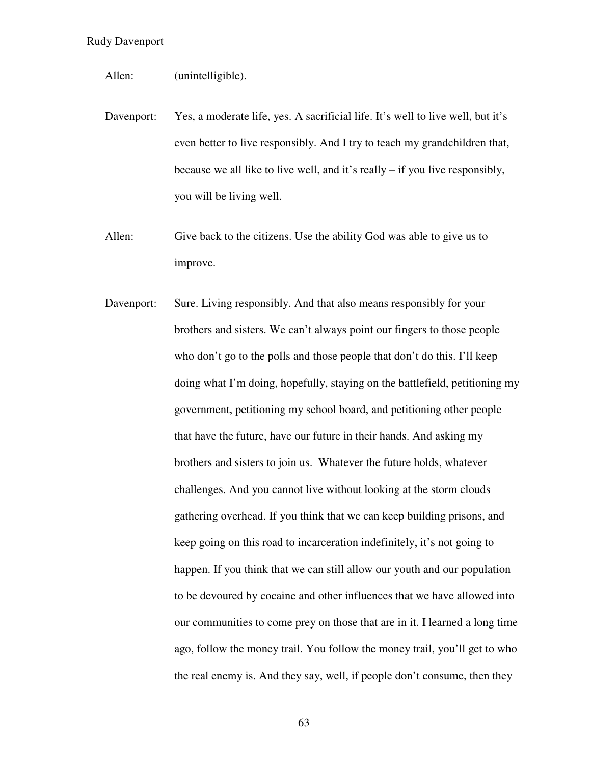- Allen: (unintelligible).
- Davenport: Yes, a moderate life, yes. A sacrificial life. It's well to live well, but it's even better to live responsibly. And I try to teach my grandchildren that, because we all like to live well, and it's really – if you live responsibly, you will be living well.
- Allen: Give back to the citizens. Use the ability God was able to give us to improve.
- Davenport: Sure. Living responsibly. And that also means responsibly for your brothers and sisters. We can't always point our fingers to those people who don't go to the polls and those people that don't do this. I'll keep doing what I'm doing, hopefully, staying on the battlefield, petitioning my government, petitioning my school board, and petitioning other people that have the future, have our future in their hands. And asking my brothers and sisters to join us. Whatever the future holds, whatever challenges. And you cannot live without looking at the storm clouds gathering overhead. If you think that we can keep building prisons, and keep going on this road to incarceration indefinitely, it's not going to happen. If you think that we can still allow our youth and our population to be devoured by cocaine and other influences that we have allowed into our communities to come prey on those that are in it. I learned a long time ago, follow the money trail. You follow the money trail, you'll get to who the real enemy is. And they say, well, if people don't consume, then they
	- 63